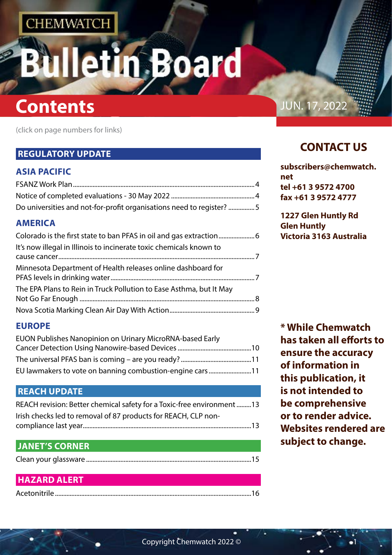# n Board

## **Contents Contents**

(click on page numbers for links)

### **[REGULATORY UPDATE](#page-2-0)**

### **[ASIA PACIFIC](#page-2-0)**

| Do universities and not-for-profit organisations need to register? 5 |  |
|----------------------------------------------------------------------|--|

### **[AMERICA](#page-3-0)**

| It's now illegal in Illinois to incinerate toxic chemicals known to |  |
|---------------------------------------------------------------------|--|
| Minnesota Department of Health releases online dashboard for        |  |
| The EPA Plans to Rein in Truck Pollution to Ease Asthma, but It May |  |
|                                                                     |  |

### **[EUROPE](#page-5-0)**

| EUON Publishes Nanopinion on Urinary MicroRNA-based Early |  |
|-----------------------------------------------------------|--|
|                                                           |  |
|                                                           |  |
| EU lawmakers to vote on banning combustion-engine cars 11 |  |

### **[REACH UPDATE](#page-6-0)**

| REACH revision: Better chemical safety for a Toxic-free environment 13 |
|------------------------------------------------------------------------|
| Irish checks led to removal of 87 products for REACH, CLP non-         |
|                                                                        |

### **[JANET'S CORNER](#page-7-0)**

|--|--|--|--|

### **[HAZARD ALERT](#page-8-0)**

|--|

### **CONTACT US**

| subscribers@chemwatch. |
|------------------------|
| net                    |
| tel +61 3 9572 4700    |
| fax +61 3 9572 4777    |

**1227 Glen Huntly Rd Glen Huntly Victoria 3163 Australia**

**\* While Chemwatch has taken all efforts to ensure the accuracy of information in this publication, it is not intended to be comprehensive or to render advice. Websites rendered are subject to change.**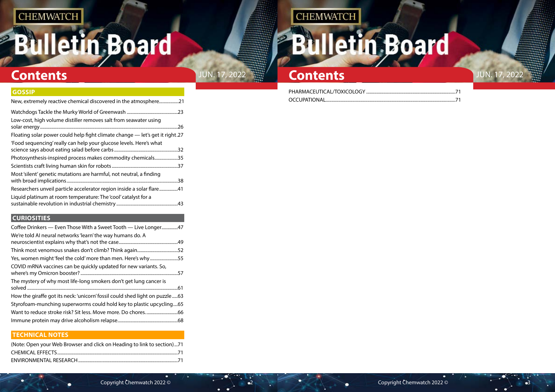# **Bulletin Board**

## **Contents** JUN. 17, 2022 **Contents** JUN. 17, 2022

## **CHEMWATCH**

# **Bulletin Board**

### **[GOSSIP](#page-10-0)**

| New, extremely reactive chemical discovered in the atmosphere21              |     |
|------------------------------------------------------------------------------|-----|
|                                                                              | .23 |
| Low-cost, high volume distiller removes salt from seawater using             | .26 |
| Floating solar power could help fight climate change — let's get it right.27 |     |
| 'Food sequencing' really can help your glucose levels. Here's what           | .32 |
| Photosynthesis-inspired process makes commodity chemicals                    | .35 |
|                                                                              | .37 |
| Most 'silent' genetic mutations are harmful, not neutral, a finding          | .38 |
| Researchers unveil particle accelerator region inside a solar flare          | .41 |
| Liquid platinum at room temperature: The 'cool' catalyst for a               | .43 |

### **[CURIOSITIES](#page-23-0)**

| Coffee Drinkers — Even Those With a Sweet Tooth — Live Longer47             |     |
|-----------------------------------------------------------------------------|-----|
| We're told AI neural networks 'learn' the way humans do. A                  |     |
|                                                                             | .49 |
|                                                                             | .52 |
| Yes, women might 'feel the cold' more than men. Here's why55                |     |
| COVID mRNA vaccines can be quickly updated for new variants. So,            | .57 |
| The mystery of why most life-long smokers don't get lung cancer is          | .61 |
| How the giraffe got its neck: 'unicorn' fossil could shed light on puzzle63 |     |
| Styrofoam-munching superworms could hold key to plastic upcycling65         |     |
|                                                                             | .66 |
|                                                                             | 68  |
|                                                                             |     |

### **[TECHNICAL NOTES](#page-35-0)**

| (Note: Open your Web Browser and click on Heading to link to section)71 |  |
|-------------------------------------------------------------------------|--|
|                                                                         |  |
|                                                                         |  |

PHARMACEUTICAL/TOXICOLOGY ......... OCCUPATIONAL...



|  | 71 |  |
|--|----|--|
|  | 71 |  |

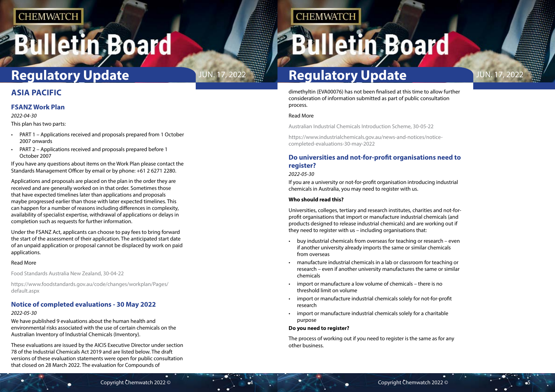# <span id="page-2-0"></span>**Illetin Board**

dimethyltin (EVA00076) has not been finalised at this time to allow further consideration of information submitted as part of public consultation process.

#### Read More

Australian Industrial Chemicals Introduction Scheme, 30-05-22

https://www.industrialchemicals.gov.au/news-and-notices/noticecompleted-evaluations-30-may-2022

### **Do universities and not-for-profit organisations need to register?**

#### *2022-05-30*

If you are a university or not-for-profit organisation introducing industrial chemicals in Australia, you may need to register with us.

#### **Who should read this?**

Universities, colleges, tertiary and research institutes, charities and not-forprofit organisations that import or manufacture industrial chemicals (and products designed to release industrial chemicals) and are working out if they need to register with us – including organisations that:

- buy industrial chemicals from overseas for teaching or research even if another university already imports the same or similar chemicals from overseas
- manufacture industrial chemicals in a lab or classroom for teaching or research – even if another university manufactures the same or similar chemicals
- import or manufacture a low volume of chemicals there is no threshold limit on volume
- import or manufacture industrial chemicals solely for not-for-profit research
- import or manufacture industrial chemicals solely for a charitable purpose

#### **Do you need to register?**

The process of working out if you need to register is the same as for any other business.



### **ASIA PACIFIC**

### **FSANZ Work Plan**

*2022-04-30*

This plan has two parts:

- PART 1 Applications received and proposals prepared from 1 October 2007 onwards
- PART 2 Applications received and proposals prepared before 1 October 2007

If you have any questions about items on the Work Plan please contact the Standards Management Officer by email or by phone: +61 2 6271 2280.

Applications and proposals are placed on the plan in the order they are received and are generally worked on in that order. Sometimes those that have expected timelines later than applications and proposals maybe progressed earlier than those with later expected timelines. This can happen for a number of reasons including differences in complexity, availability of specialist expertise, withdrawal of applications or delays in completion such as requests for further information.

Under the FSANZ Act, applicants can choose to pay fees to bring forward the start of the assessment of their application. The anticipated start date of an unpaid application or proposal cannot be displaced by work on paid applications.

#### Read More

Food Standards Australia New Zealand, 30-04-22

https://www.foodstandards.gov.au/code/changes/workplan/Pages/ default.aspx

### **Notice of completed evaluations - 30 May 2022**

#### *2022-05-30*

We have published 9 evaluations about the human health and environmental risks associated with the use of certain chemicals on the Australian Inventory of Industrial Chemicals (Inventory).

These evaluations are issued by the AICIS Executive Director under section 78 of the Industrial Chemicals Act 2019 and are listed below. The draft versions of these evaluation statements were open for public consultation that closed on 28 March 2022. The evaluation for Compounds of

## **CHEMWATCH**

**Iletin Board** 

## **JUN. 17, 2022 <b>Regulatory Update** JUN. 17, 2022

## **Regulatory Update**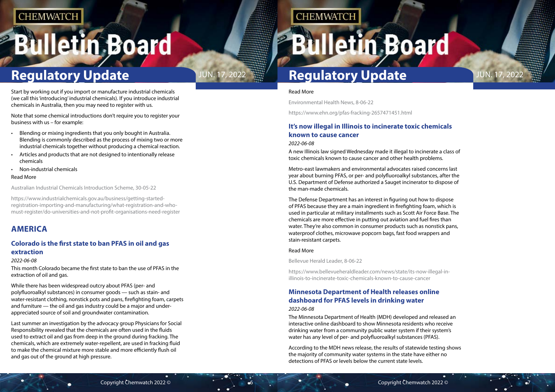# <span id="page-3-0"></span>**Bulletin Board**

#### Read More

Environmental Health News, 8-06-22

https://www.ehn.org/pfas-fracking-2657471451.html

### **It's now illegal in Illinois to incinerate toxic chemicals known to cause cancer**

#### *2022-06-08*

A new Illinois law signed Wednesday made it illegal to incinerate a class of toxic chemicals known to cause cancer and other health problems.

Metro-east lawmakers and environmental advocates raised concerns last year about burning PFAS, or per- and polyfluoroalkyl substances, after the U.S. Department of Defense authorized a Sauget incinerator to dispose of the man-made chemicals.

The Defense Department has an interest in figuring out how to dispose of PFAS because they are a main ingredient in firefighting foam, which is used in particular at military installments such as Scott Air Force Base. The chemicals are more effective in putting out aviation and fuel fires than water. They're also common in consumer products such as nonstick pans, waterproof clothes, microwave popcorn bags, fast food wrappers and stain-resistant carpets.

#### Read More

Bellevue Herald Leader, 8-06-22

https://www.bellevueheraldleader.com/news/state/its-now-illegal-inillinois-to-incinerate-toxic-chemicals-known-to-cause-cancer

### **Minnesota Department of Health releases online dashboard for PFAS levels in drinking water** *2022-06-08*

The Minnesota Department of Health (MDH) developed and released an interactive online dashboard to show Minnesota residents who receive drinking water from a community public water system if their system's water has any level of per- and polyfluoroalkyl substances (PFAS).

According to the MDH news release, the results of statewide testing shows the majority of community water systems in the state have either no detections of PFAS or levels below the current state levels.



Start by working out if you import or manufacture industrial chemicals (we call this 'introducing' industrial chemicals). If you introduce industrial chemicals in Australia, then you may need to register with us.

Note that some chemical introductions don't require you to register your business with us – for example:

- Blending or mixing ingredients that you only bought in Australia. Blending is commonly described as the process of mixing two or more industrial chemicals together without producing a chemical reaction.
- Articles and products that are not designed to intentionally release chemicals
- Non-industrial chemicals

#### Read More

Australian Industrial Chemicals Introduction Scheme, 30-05-22

https://www.industrialchemicals.gov.au/business/getting-startedregistration-importing-and-manufacturing/what-registration-and-whomust-register/do-universities-and-not-profit-organisations-need-register

### **AMERICA**

### **Colorado is the first state to ban PFAS in oil and gas extraction**

#### *2022-06-08*

This month Colorado became the first state to ban the use of PFAS in the extraction of oil and gas.

While there has been widespread outcry about PFAS (per- and polyfluoroalkyl substances) in consumer goods — such as stain- and water-resistant clothing, nonstick pots and pans, firefighting foam, carpets and furniture — the oil and gas industry could be a major and underappreciated source of soil and groundwater contamination.

Last summer an investigation by the advocacy group Physicians for Social Responsibility revealed that the chemicals are often used in the fluids used to extract oil and gas from deep in the ground during fracking. The chemicals, which are extremely water-repellent, are used in fracking fluid to make the chemical mixture more stable and more efficiently flush oil and gas out of the ground at high pressure.

## **CHEMWATCH**

**Bulletin Board** 

## **Regulatory Update JUN. 17, 2022 <b>Regulatory Update** JUN. 17, 2022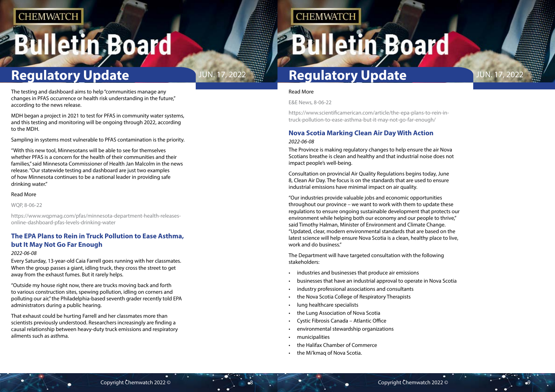# <span id="page-4-0"></span>**Bulletin Board**

## **Regulatory Update JUN. 17, 2022 <b>Regulatory Update** JUN. 17, 2022

Read More

E&E News, 8-06-22

https://www.scientificamerican.com/article/the-epa-plans-to-rein-intruck-pollution-to-ease-asthma-but-it-may-not-go-far-enough/

## **Nova Scotia Marking Clean Air Day With Action**

#### *2022-06-08*

The Province is making regulatory changes to help ensure the air Nova Scotians breathe is clean and healthy and that industrial noise does not impact people's well-being.

Consultation on provincial Air Quality Regulations begins today, June 8, Clean Air Day. The focus is on the standards that are used to ensure industrial emissions have minimal impact on air quality.

"Our industries provide valuable jobs and economic opportunities throughout our province – we want to work with them to update these regulations to ensure ongoing sustainable development that protects our environment while helping both our economy and our people to thrive," said Timothy Halman, Minister of Environment and Climate Change. "Updated, clear, modern environmental standards that are based on the latest science will help ensure Nova Scotia is a clean, healthy place to live, work and do business."

The Department will have targeted consultation with the following stakeholders:

- industries and businesses that produce air emissions
- businesses that have an industrial approval to operate in Nova Scotia
- industry professional associations and consultants
- the Nova Scotia College of Respiratory Therapists
- lung healthcare specialists
- the Lung Association of Nova Scotia
- Cystic Fibrosis Canada Atlantic Office
- environmental stewardship organizations
- municipalities
- the Halifax Chamber of Commerce
- the Mi'kmaq of Nova Scotia.





The testing and dashboard aims to help "communities manage any changes in PFAS occurrence or health risk understanding in the future," according to the news release.

MDH began a project in 2021 to test for PFAS in community water systems, and this testing and monitoring will be ongoing through 2022, according to the MDH.

Sampling in systems most vulnerable to PFAS contamination is the priority.

"With this new tool, Minnesotans will be able to see for themselves whether PFAS is a concern for the health of their communities and their families," said Minnesota Commissioner of Health Jan Malcolm in the news release. "Our statewide testing and dashboard are just two examples of how Minnesota continues to be a national leader in providing safe drinking water."

#### Read More

WQP, 8-06-22

https://www.wqpmag.com/pfas/minnesota-department-health-releasesonline-dashboard-pfas-levels-drinking-water

### **The EPA Plans to Rein in Truck Pollution to Ease Asthma, but It May Not Go Far Enough**

#### *2022-06-08*

Every Saturday, 13-year-old Caia Farrell goes running with her classmates. When the group passes a giant, idling truck, they cross the street to get away from the exhaust fumes. But it rarely helps.

"Outside my house right now, there are trucks moving back and forth to various construction sites, spewing pollution, idling on corners and polluting our air," the Philadelphia-based seventh grader recently told EPA administrators during a public hearing.

That exhaust could be hurting Farrell and her classmates more than scientists previously understood. Researchers increasingly are finding a causal relationship between heavy-duty truck emissions and respiratory ailments such as asthma.

## **CHEMWATCH**

## **Illetin Board**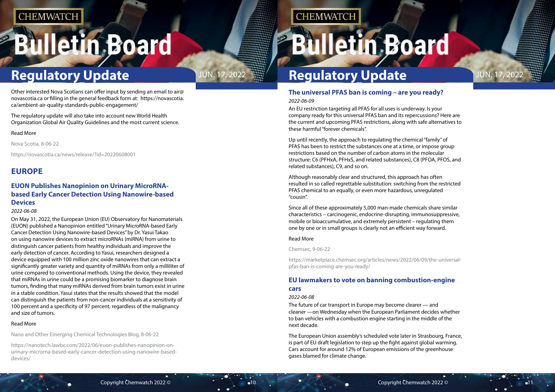# <span id="page-5-0"></span>**Bulletin Board**

## **Regulatory Update JUN. 17, 2022 <b>Regulatory Update** JUN. 17, 2022

## **The universal PFAS ban is coming – are you ready?**

*2022-06-09*

An EU restriction targeting all PFAS for all uses is underway. Is your company ready for this universal PFAS ban and its repercussions? Here are the current and upcoming PFAS restrictions, along with safe alternatives to these harmful "forever chemicals".

Up until recently, the approach to regulating the chemical "family" of PFAS has been to restrict the substances one at a time, or impose group restrictions based on the number of carbon atoms in the molecular structure: C6 (PFHxA, PFHxS, and related substances), C8 (PFOA, PFOS, and related substances), C9, and so on.

Although reasonably clear and structured, this approach has often resulted in so called regrettable substitution: switching from the restricted PFAS chemical to an equally, or even more hazardous, unregulated "cousin".

Since all of these approximately 5,000 man-made chemicals share similar characteristics – carcinogenic, endocrine-disrupting, immunosuppressive, mobile or bioaccumulative, and extremely persistent – regulating them one by one or in small groups is clearly not an efficient way forward.

#### Read More

Chemsec, 9-06-22

https://marketplace.chemsec.org/articles/news/2022/06/09/the-universalpfas-ban-is-coming-are-you-ready/

### **EU lawmakers to vote on banning combustion-engine cars**

#### *2022-06-08*

The future of car transport in Europe may become clearer — and cleaner —on Wednesday when the European Parliament decides whether to ban vehicles with a combustion engine starting in the middle of the next decade.

The European Union assembly's scheduled vote later in Strasbourg, France, is part of EU draft legislation to step up the fight against global warming. Cars account for around 12% of European emissions of the greenhouse gases blamed for climate change.





Other interested Nova Scotians can offer input by sending an email to air@ novascotia.ca or filling in the general feedback form at: https://novascotia. ca/ambient-air-quality-standards-public-engagement/

The regulatory update will also take into account new World Health Organization Global Air Quality Guidelines and the most current science.

#### Read More

Nova Scotia, 8-06-22

https://novascotia.ca/news/release/?id=20220608001

### **EUROPE**

### **EUON Publishes Nanopinion on Urinary MicroRNAbased Early Cancer Detection Using Nanowire-based Devices**

#### *2022-06-08*

On May 31, 2022, the European Union (EU) Observatory for Nanomaterials (EUON) published a Nanopinion entitled "Urinary MicroRNA-based Early Cancer Detection Using Nanowire-based Devices" by Dr. Yasui Takao on using nanowire devices to extract microRNAs (miRNA) from urine to distinguish cancer patients from healthy individuals and improve the early detection of cancer. According to Yasui, researchers designed a device equipped with 100 million zinc oxide nanowires that can extract a significantly greater variety and quantity of miRNAs from only a milliliter of urine compared to conventional methods. Using the device, they revealed that miRNAs in urine could be a promising biomarker to diagnose brain tumors, finding that many miRNAs derived from brain tumors exist in urine in a stable condition. Yasui states that the results showed that the model can distinguish the patients from non-cancer individuals at a sensitivity of 100 percent and a specificity of 97 percent, regardless of the malignancy and size of tumors.

#### Read More

Nano and Other Emerging Chemical Technologies Blog, 8-06-22

https://nanotech.lawbc.com/2022/06/euon-publishes-nanopinion-onurinary-microrna-based-early-cancer-detection-using-nanowire-baseddevices/

## **CHEMWATCH**

# **Bulletin Board**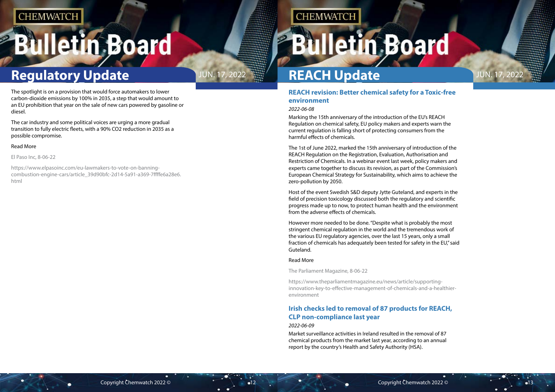# <span id="page-6-0"></span>**Bulletin Board**

## **Regulatory Update** JUN. 17, 2022



### **REACH revision: Better chemical safety for a Toxic-free environment**

#### *2022-06-08*

Marking the 15th anniversary of the introduction of the EU's REACH Regulation on chemical safety, EU policy makers and experts warn the current regulation is falling short of protecting consumers from the harmful effects of chemicals.

The 1st of June 2022, marked the 15th anniversary of introduction of the REACH Regulation on the Registration, Evaluation, Authorisation and Restriction of Chemicals. In a webinar event last week, policy makers and experts came together to discuss its revision, as part of the Commission's European Chemical Strategy for Sustainability, which aims to achieve the zero-pollution by 2050.

Host of the event Swedish S&D deputy Jytte Guteland, and experts in the field of precision toxicology discussed both the regulatory and scientific progress made up to now, to protect human health and the environment from the adverse effects of chemicals.

However more needed to be done. "Despite what is probably the most stringent chemical regulation in the world and the tremendous work of the various EU regulatory agencies, over the last 15 years, only a small fraction of chemicals has adequately been tested for safety in the EU," said Guteland.

#### Read More

The Parliament Magazine, 8-06-22

https://www.theparliamentmagazine.eu/news/article/supportinginnovation-key-to-effective-management-of-chemicals-and-a-healthierenvironment

### **Irish checks led to removal of 87 products for REACH, CLP non-compliance last year**

#### *2022-06-09*

Market surveillance activities in Ireland resulted in the removal of 87 chemical products from the market last year, according to an annual report by the country's Health and Safety Authority (HSA).

**REACH Update**

# **Illetin Board**

The spotlight is on a provision that would force automakers to lower carbon-dioxide emissions by 100% in 2035, a step that would amount to an EU prohibition that year on the sale of new cars powered by gasoline or diesel.

The car industry and some political voices are urging a more gradual transition to fully electric fleets, with a 90% CO2 reduction in 2035 as a possible compromise.

#### Read More

El Paso Inc, 8-06-22

https://www.elpasoinc.com/eu-lawmakers-to-vote-on-banningcombustion-engine-cars/article\_39d90bfc-2d14-5a91-a369-7ffffe6a28e6. html

## **CHEMWATCH**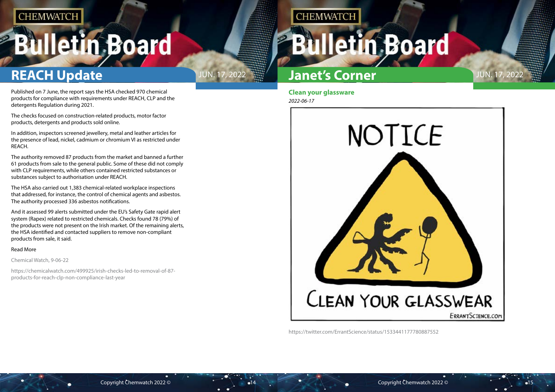# <span id="page-7-0"></span>**Bulletin Board**

## **REACH Update JUN. 17, 2022**



**Clean your glassware** *2022-06-17*

**CHEMWATCH** 



https://twitter.com/ErrantScience/status/1533441177780887552

## **Janet's Corner**

Published on 7 June, the report says the HSA checked 970 chemical products for compliance with requirements under REACH, CLP and the detergents Regulation during 2021.

The checks focused on construction-related products, motor factor products, detergents and products sold online.

In addition, inspectors screened jewellery, metal and leather articles for the presence of lead, nickel, cadmium or chromium VI as restricted under REACH.

The authority removed 87 products from the market and banned a further 61 products from sale to the general public. Some of these did not comply with CLP requirements, while others contained restricted substances or substances subject to authorisation under REACH.

The HSA also carried out 1,383 chemical-related workplace inspections that addressed, for instance, the control of chemical agents and asbestos. The authority processed 336 asbestos notifications.

And it assessed 99 alerts submitted under the EU's Safety Gate rapid alert system (Rapex) related to restricted chemicals. Checks found 78 (79%) of the products were not present on the Irish market. Of the remaining alerts, the HSA identified and contacted suppliers to remove non-compliant products from sale, it said.

#### Read More

Chemical Watch, 9-06-22

https://chemicalwatch.com/499925/irish-checks-led-to-removal-of-87 products-for-reach-clp-non-compliance-last-year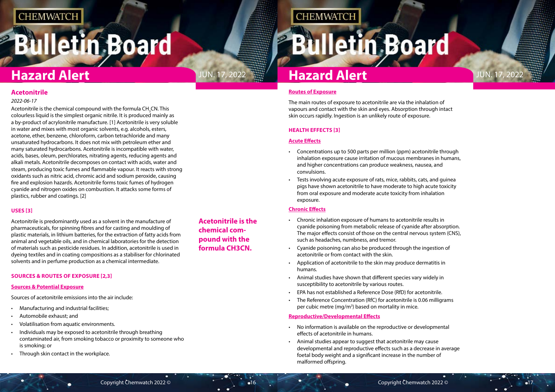# <span id="page-8-0"></span>**Bulletin Board**



**Acetonitrile is the chemical compound with the formula CH3CN.**

**CHEMWATCH** 

#### **Routes of Exposure**

The main routes of exposure to acetonitrile are via the inhalation of vapours and contact with the skin and eyes. Absorption through intact skin occurs rapidly. Ingestion is an unlikely route of exposure.

#### **HEALTH EFFECTS [3]**

#### **Acute Effects**

- Chronic inhalation exposure of humans to acetonitrile results in cyanide poisoning from metabolic release of cyanide after absorption. The major effects consist of those on the central nervous system (CNS), such as headaches, numbness, and tremor.
- Cyanide poisoning can also be produced through the ingestion of acetonitrile or from contact with the skin.
- Application of acetonitrile to the skin may produce dermatitis in humans.
- Animal studies have shown that different species vary widely in susceptibility to acetonitrile by various routes.
- EPA has not established a Reference Dose (RfD) for acetonitrile.
- The Reference Concentration (RfC) for acetonitrile is 0.06 milligrams per cubic metre (mg/m<sup>3</sup>) based on mortality in mice.
- Concentrations up to 500 parts per million (ppm) acetonitrile through inhalation exposure cause irritation of mucous membranes in humans, and higher concentrations can produce weakness, nausea, and convulsions.
- Tests involving acute exposure of rats, mice, rabbits, cats, and guinea pigs have shown acetonitrile to have moderate to high acute toxicity from oral exposure and moderate acute toxicity from inhalation exposure.

### **Chronic Effects**

Acetonitrile is the chemical compound with the formula CH<sub>3</sub>CN. This colourless liquid is the simplest organic nitrile. It is produced mainly as a by-product of acrylonitrile manufacture. [1] Acetonitrile is very soluble in water and mixes with most organic solvents, e.g. alcohols, esters, acetone, ether, benzene, chloroform, carbon tetrachloride and many unsaturated hydrocarbons. It does not mix with petroleum ether and many saturated hydrocarbons. Acetonitrile is incompatible with water, acids, bases, oleum, perchlorates, nitrating agents, reducing agents and alkali metals. Acetonitrile decomposes on contact with acids, water and steam, producing toxic fumes and flammable vapour. It reacts with strong oxidants such as nitric acid, chromic acid and sodium peroxide, causing fire and explosion hazards. Acetonitrile forms toxic fumes of hydrogen cyanide and nitrogen oxides on combustion. It attacks some forms of plastics, rubber and coatings. [2]

#### **Reproductive/Developmental Effects**

- No information is available on the reproductive or developmental effects of acetonitrile in humans.
- Animal studies appear to suggest that acetonitrile may cause developmental and reproductive effects such as a decrease in average foetal body weight and a significant increase in the number of malformed offspring.

### **Acetonitrile**

#### *2022-06-17*

### **USES [3]**

Acetonitrile is predominantly used as a solvent in the manufacture of pharmaceuticals, for spinning fibres and for casting and moulding of plastic materials, in lithium batteries, for the extraction of fatty acids from animal and vegetable oils, and in chemical laboratories for the detection of materials such as pesticide residues. In addition, acetonitrile is used in dyeing textiles and in coating compositions as a stabiliser for chlorinated solvents and in perfume production as a chemical intermediate.

#### **SOURCES & ROUTES OF EXPOSURE [2,3]**

#### **Sources & Potential Exposure**

Sources of acetonitrile emissions into the air include:

- Manufacturing and industrial facilities;
- Automobile exhaust; and
- Volatilisation from aquatic environments.
- Individuals may be exposed to acetonitrile through breathing contaminated air, from smoking tobacco or proximity to someone who is smoking; or
- Through skin contact in the workplace.

## **Hazard Alert**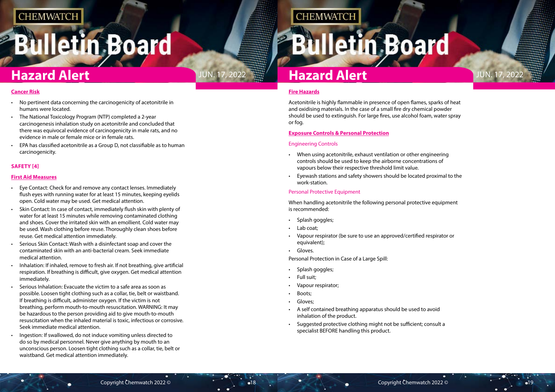# **Bulletin Board**



### **Fire Hazards**

Acetonitrile is highly flammable in presence of open flames, sparks of heat and oxidising materials. In the case of a small fire dry chemical powder should be used to extinguish. For large fires, use alcohol foam, water spray or fog.

### **Exposure Controls & Personal Protection**

- Splash goggles;
- Lab coat:
- Vapour respirator (be sure to use an approved/certified respirator or equivalent);
- Gloves.

### Engineering Controls

- When using acetonitrile, exhaust ventilation or other engineering controls should be used to keep the airborne concentrations of vapours below their respective threshold limit value.
- Eyewash stations and safety showers should be located proximal to the work-station.

### Personal Protective Equipment

When handling acetonitrile the following personal protective equipment is recommended:

Personal Protection in Case of a Large Spill:

- Splash goggles;
- Full suit;
- Vapour respirator;
- Boots;
- Gloves:
- A self contained breathing apparatus should be used to avoid inhalation of the product.
- Suggested protective clothing might not be sufficient; consult a specialist BEFORE handling this product.

#### **Cancer Risk**

- No pertinent data concerning the carcinogenicity of acetonitrile in humans were located.
- The National Toxicology Program (NTP) completed a 2-year carcinogenesis inhalation study on acetonitrile and concluded that there was equivocal evidence of carcinogenicity in male rats, and no evidence in male or female mice or in female rats.
- EPA has classified acetonitrile as a Group D, not classifiable as to human carcinogenicity.

#### **SAFETY [4]**

#### **First Aid Measures**

- Eye Contact: Check for and remove any contact lenses. Immediately flush eyes with running water for at least 15 minutes, keeping eyelids open. Cold water may be used. Get medical attention.
- Skin Contact: In case of contact, immediately flush skin with plenty of water for at least 15 minutes while removing contaminated clothing and shoes. Cover the irritated skin with an emollient. Cold water may be used. Wash clothing before reuse. Thoroughly clean shoes before reuse. Get medical attention immediately.
- Serious Skin Contact: Wash with a disinfectant soap and cover the contaminated skin with an anti-bacterial cream. Seek immediate medical attention.
- Inhalation: If inhaled, remove to fresh air. If not breathing, give artificial respiration. If breathing is difficult, give oxygen. Get medical attention immediately.
- Serious Inhalation: Evacuate the victim to a safe area as soon as possible. Loosen tight clothing such as a collar, tie, belt or waistband. If breathing is difficult, administer oxygen. If the victim is not breathing, perform mouth-to-mouth resuscitation. WARNING: It may be hazardous to the person providing aid to give mouth-to-mouth resuscitation when the inhaled material is toxic, infectious or corrosive. Seek immediate medical attention.
- Ingestion: If swallowed, do not induce vomiting unless directed to do so by medical personnel. Never give anything by mouth to an unconscious person. Loosen tight clothing such as a collar, tie, belt or waistband. Get medical attention immediately.

**CHEMWATCH**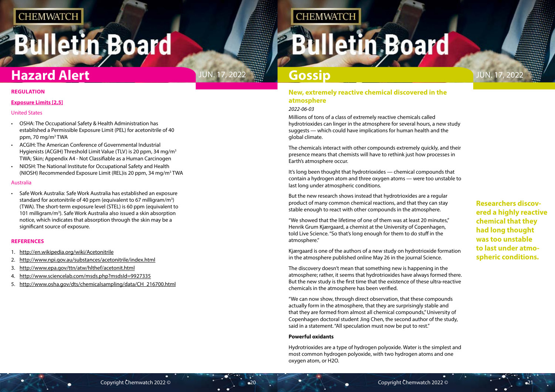# <span id="page-10-0"></span>**Bulletin Board**



## Jun. 17, 2022

**Researchers discovered a highly reactive chemical that they had long thought was too unstable to last under atmospheric conditions.**

## **Hazard Alert**

### **New, extremely reactive chemical discovered in the atmosphere**

### *2022-06-03*

Millions of tons of a class of extremely reactive chemicals called hydrotrioxides can linger in the atmosphere for several hours, a new study suggests — which could have implications for human health and the global climate.

The chemicals interact with other compounds extremely quickly, and their presence means that chemists will have to rethink just how processes in Earth's atmosphere occur.

It's long been thought that hydrotrioxides — chemical compounds that contain a hydrogen atom and three oxygen atoms — were too unstable to last long under atmospheric conditions.

But the new research shows instead that hydrotrioxides are a regular product of many common chemical reactions, and that they can stay stable enough to react with other compounds in the atmosphere.

- OSHA: The Occupational Safety & Health Administration has established a Permissible Exposure Limit (PEL) for acetonitrile of 40 ppm, 70 mg/m3 TWA
- ACGIH: The American Conference of Governmental Industrial Hygienists (ACGIH) Threshold Limit Value (TLV) is 20 ppm, 34 mg/m<sup>3</sup> TWA; Skin; Appendix A4 - Not Classifiable as a Human Carcinogen
- NIOSH: The National Institute for Occupational Safety and Health (NIOSH) Recommended Exposure Limit (REL)is 20 ppm, 34 mg/m<sup>3</sup> TWA

"We showed that the lifetime of one of them was at least 20 minutes," Henrik Grum Kjærgaard, a chemist at the University of Copenhagen, told Live Science. "So that's long enough for them to do stuff in the atmosphere."

Kjærgaard is one of the authors of a new study on hydrotrioxide formation in the atmosphere published online May 26 in the journal Science.

The discovery doesn't mean that something new is happening in the atmosphere; rather, it seems that hydrotrioxides have always formed there. But the new study is the first time that the existence of these ultra-reactive chemicals in the atmosphere has been verified.

"We can now show, through direct observation, that these compounds actually form in the atmosphere, that they are surprisingly stable and that they are formed from almost all chemical compounds," University of Copenhagen doctoral student Jing Chen, the second author of the study, said in a statement. "All speculation must now be put to rest."

#### **Powerful oxidants**

Hydrotrioxides are a type of hydrogen polyoxide. Water is the simplest and most common hydrogen polyoxide, with two hydrogen atoms and one oxygen atom, or H2O.

## **Gossip**

#### **REGULATION**

#### **Exposure Limits [2,5]**

#### United States

#### Australia

• Safe Work Australia: Safe Work Australia has established an exposure standard for acetonitrile of 40 ppm (equivalent to 67 milligram/ $m^3$ ) (TWA). The short-term exposure level (STEL) is 60 ppm (equivalent to 101 milligram/m<sup>3</sup>). Safe Work Australia also issued a skin absorption notice, which indicates that absorption through the skin may be a significant source of exposure.

#### **REFERENCES**

- 1. <http://en.wikipedia.org/wiki/Acetonitrile>
- 2. <http://www.npi.gov.au/substances/acetonitrile/index.html>
- 3. <http://www.epa.gov/ttn/atw/hlthef/acetonit.html>
- 4. <http://www.sciencelab.com/msds.php?msdsId=9927335>
- 5. [http://www.osha.gov/dts/chemicalsampling/data/CH\\_216700.html](http://www.osha.gov/dts/chemicalsampling/data/CH_216700.html)

## **CHEMWATCH**

# **Illetin Board**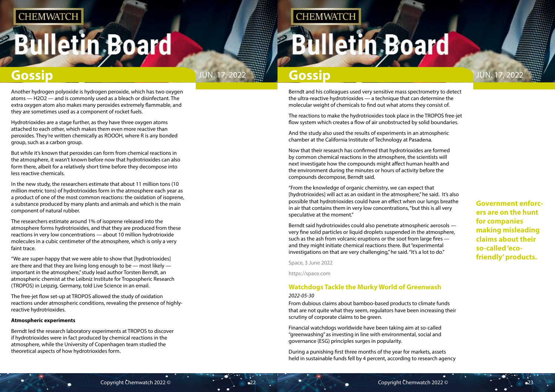# <span id="page-11-0"></span>**Bulletin Board**

**Gossip Gossip JUN. 17, 2022** JUN. 17, 2022 **Gossip Gossip** JUN. 17, 2022

**CHEMWATCH** 

**Government enforcers are on the hunt for companies making misleading claims about their so-called 'ecofriendly' products.**

Berndt and his colleagues used very sensitive mass spectrometry to detect the ultra-reactive hydrotrioxides — a technique that can determine the molecular weight of chemicals to find out what atoms they consist of.

The reactions to make the hydrotrioxides took place in the TROPOS free-jet flow system which creates a flow of air unobstructed by solid boundaries.

And the study also used the results of experiments in an atmospheric chamber at the California Institute of Technology at Pasadena.

Now that their research has confirmed that hydrotrioxides are formed by common chemical reactions in the atmosphere, the scientists will next investigate how the compounds might affect human health and the environment during the minutes or hours of activity before the compounds decompose, Berndt said.

"From the knowledge of organic chemistry, we can expect that [hydrotrioxides] will act as an oxidant in the atmosphere," he said. It's also possible that hydrotrioxides could have an effect when our lungs breathe in air that contains them in very low concentrations, "but this is all very speculative at the moment."

Berndt said hydrotrioxides could also penetrate atmospheric aerosols very fine solid particles or liquid droplets suspended in the atmosphere, such as the ash from volcanic eruptions or the soot from large fires and they might initiate chemical reactions there. But "experimental investigations on that are very challenging," he said. "It's a lot to do."

Space, 3 June 2022

https://space.com

### **Watchdogs Tackle the Murky World of Greenwash**

#### *2022-05-30*

From dubious claims about bamboo-based products to climate funds that are not quite what they seem, regulators have been increasing their scrutiny of corporate claims to be green.

Financial watchdogs worldwide have been taking aim at so-called "greenwashing" as investing in line with environmental, social and governance (ESG) principles surges in popularity.

During a punishing first three months of the year for markets, assets held in sustainable funds fell by 4 percent, according to research agency

Another hydrogen polyoxide is hydrogen peroxide, which has two oxygen atoms — H2O2 — and is commonly used as a bleach or disinfectant. The extra oxygen atom also makes many peroxides extremely flammable, and they are sometimes used as a component of rocket fuels.

Hydrotrioxides are a stage further, as they have three oxygen atoms attached to each other, which makes them even more reactive than peroxides. They're written chemically as ROOOH, where R is any bonded group, such as a carbon group.

But while it's known that peroxides can form from chemical reactions in the atmosphere, it wasn't known before now that hydrotrioxides can also form there, albeit for a relatively short time before they decompose into less reactive chemicals.

In the new study, the researchers estimate that about 11 million tons (10 million metric tons) of hydrotrioxides form in the atmosphere each year as a product of one of the most common reactions: the oxidation of isoprene, a substance produced by many plants and animals and which is the main component of natural rubber.

The researchers estimate around 1% of isoprene released into the atmosphere forms hydrotrioxides, and that they are produced from these reactions in very low concentrations — about 10 million hydrotrioxide molecules in a cubic centimeter of the atmosphere, which is only a very faint trace.

"We are super-happy that we were able to show that [hydrotrioxides] are there and that they are living long enough to be — most likely important in the atmosphere," study lead author Torsten Berndt, an atmospheric chemist at the Leibniz Institute for Tropospheric Research (TROPOS) in Leipzig, Germany, told Live Science in an email.

The free-jet flow set-up at TROPOS allowed the study of oxidation reactions under atmospheric conditions, revealing the presence of highlyreactive hydrotrioxides.

#### **Atmospheric experiments**

Berndt led the research laboratory experiments at TROPOS to discover if hydrotrioxides were in fact produced by chemical reactions in the atmosphere, while the University of Copenhagen team studied the theoretical aspects of how hydrotrioxides form.

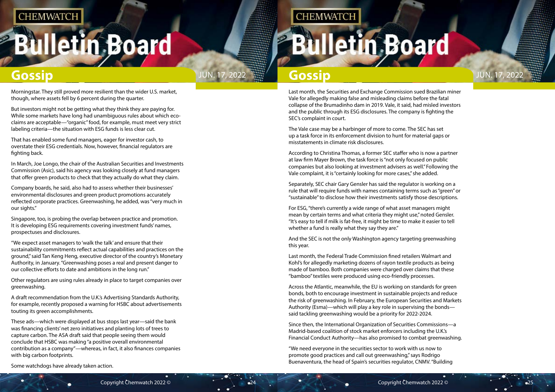# **Illetin Board**



Last month, the Securities and Exchange Commission sued Brazilian miner Vale for allegedly making false and misleading claims before the fatal collapse of the Brumadinho dam in 2019. Vale, it said, had misled investors and the public through its ESG disclosures. The company is fighting the SEC's complaint in court.

The Vale case may be a harbinger of more to come. The SEC has set up a task force in its enforcement division to hunt for material gaps or misstatements in climate risk disclosures.

For ESG, "there's currently a wide range of what asset managers might mean by certain terms and what criteria they might use," noted Gensler. "It's easy to tell if milk is fat-free, it might be time to make it easier to tell whether a fund is really what they say they are."

According to Christina Thomas, a former SEC staffer who is now a partner at law firm Mayer Brown, the task force is "not only focused on public companies but also looking at investment advisers as well." Following the Vale complaint, it is "certainly looking for more cases," she added.

Separately, SEC chair Gary Gensler has said the regulator is working on a rule that will require funds with names containing terms such as "green" or "sustainable" to disclose how their investments satisfy those descriptions.

And the SEC is not the only Washington agency targeting greenwashing this year.

Last month, the Federal Trade Commission fined retailers Walmart and Kohl's for allegedly marketing dozens of rayon textile products as being made of bamboo. Both companies were charged over claims that these "bamboo" textiles were produced using eco-friendly processes.

Across the Atlantic, meanwhile, the EU is working on standards for green bonds, both to encourage investment in sustainable projects and reduce the risk of greenwashing. In February, the European Securities and Markets Authority (Esma)—which will play a key role in supervising the bonds said tackling greenwashing would be a priority for 2022-2024.

Since then, the International Organization of Securities Commissions—a Madrid-based coalition of stock market enforcers including the U.K.'s Financial Conduct Authority—has also promised to combat greenwashing.

"We need everyone in the securities sector to work with us now to promote good practices and call out greenwashing," says Rodrigo Buenaventura, the head of Spain's securities regulator, CNMV. "Building

Morningstar. They still proved more resilient than the wider U.S. market, though, where assets fell by 6 percent during the quarter.

But investors might not be getting what they think they are paying for. While some markets have long had unambiguous rules about which ecoclaims are acceptable—"organic" food, for example, must meet very strict labeling criteria—the situation with ESG funds is less clear cut.

That has enabled some fund managers, eager for investor cash, to overstate their ESG credentials. Now, however, financial regulators are fighting back.

In March, Joe Longo, the chair of the Australian Securities and Investments Commission (Asic), said his agency was looking closely at fund managers that offer green products to check that they actually do what they claim.

Company boards, he said, also had to assess whether their businesses' environmental disclosures and green product promotions accurately reflected corporate practices. Greenwashing, he added, was "very much in our sights."

Singapore, too, is probing the overlap between practice and promotion. It is developing ESG requirements covering investment funds' names, prospectuses and disclosures.

"We expect asset managers to 'walk the talk' and ensure that their sustainability commitments reflect actual capabilities and practices on the ground," said Tan Keng Heng, executive director of the country's Monetary Authority, in January. "Greenwashing poses a real and present danger to our collective efforts to date and ambitions in the long run."

Other regulators are using rules already in place to target companies over greenwashing.

A draft recommendation from the U.K.'s Advertising Standards Authority, for example, recently proposed a warning for HSBC about advertisements touting its green accomplishments.

These ads—which were displayed at bus stops last year—said the bank was financing clients' net zero initiatives and planting lots of trees to capture carbon. The ASA draft said that people seeing them would conclude that HSBC was making "a positive overall environmental contribution as a company"—whereas, in fact, it also finances companies with big carbon footprints.

**CHEMWATCH** 

Some watchdogs have already taken action.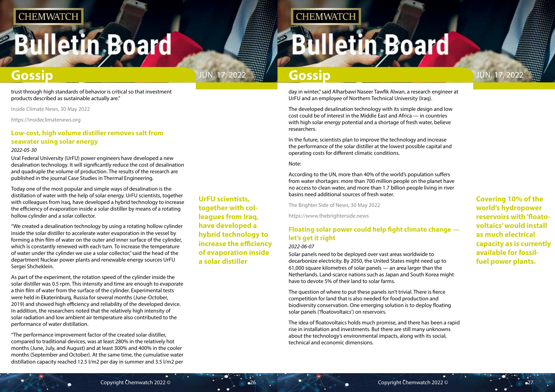# **Bulletin Board**

**Covering 10% of the world's hydropower reservoirs with 'floatovoltaics' would install as much electrical capacity as is currently available for fossilfuel power plants.**

<span id="page-13-0"></span>

**UrFU scientists, together with colleagues from Iraq, have developed a hybrid technology to increase the efficiency of evaporation inside a solar distiller**

## **CHEMWATCH**

**Bulletin Board** 

day in winter," said Alharbawi Naseer Tawfik Alwan, a research engineer at UrFU and an employee of Northern Technical University (Iraq).

The developed desalination technology with its simple design and low cost could be of interest in the Middle East and Africa — in countries with high solar energy potential and a shortage of fresh water, believe researchers.

In the future, scientists plan to improve the technology and increase the performance of the solar distiller at the lowest possible capital and operating costs for different climatic conditions.

#### Note:

According to the UN, more than 40% of the world's population suffers from water shortages: more than 700 million people on the planet have no access to clean water, and more than 1.7 billion people living in river basins need additional sources of fresh water.

The Brighter Side of News, 30 May 2022

https://www.thebrighterside.news

### **Floating solar power could help fight climate change let's get it right**

#### *2022-06-07*

Solar panels need to be deployed over vast areas worldwide to decarbonize electricity. By 2050, the United States might need up to 61,000 square kilometres of solar panels — an area larger than the Netherlands. Land-scarce nations such as Japan and South Korea might have to devote 5% of their land to solar farms.

The question of where to put these panels isn't trivial. There is fierce competition for land that is also needed for food production and biodiversity conservation. One emerging solution is to deploy floating solar panels ('floatovoltaics') on reservoirs.

The idea of floatovoltaics holds much promise, and there has been a rapid rise in installation and investments. But there are still many unknowns about the technology's environmental impacts, along with its social, technical and economic dimensions.

trust through high standards of behavior is critical so that investment products described as sustainable actually are."

Inside Climate News, 30 May 2022

https://insideclimatenews.org

### **Low-cost, high volume distiller removes salt from seawater using solar energy**

#### *2022-05-30*

Ural Federal University (UrFU) power engineers have developed a new desalination technology. It will significantly reduce the cost of desalination and quadruple the volume of production. The results of the research are published in the journal Case Studies in Thermal Engineering.

Today one of the most popular and simple ways of desalination is the distillation of water with the help of solar energy. UrFU scientists, together with colleagues from Iraq, have developed a hybrid technology to increase the efficiency of evaporation inside a solar distiller by means of a rotating hollow cylinder and a solar collector.

"We created a desalination technology by using a rotating hollow cylinder inside the solar distiller to accelerate water evaporation in the vessel by forming a thin film of water on the outer and inner surface of the cylinder, which is constantly renewed with each turn. To increase the temperature of water under the cylinder we use a solar collector," said the head of the department Nuclear power plants and renewable energy sources UrFU Sergei Shcheklein.

As part of the experiment, the rotation speed of the cylinder inside the solar distiller was 0.5 rpm. This intensity and time are enough to evaporate a thin film of water from the surface of the cylinder. Experimental tests were held in Ekaterinburg, Russia for several months (June-October, 2019) and showed high efficiency and reliability of the developed device. In addition, the researchers noted that the relatively high intensity of solar radiation and low ambient air temperature also contributed to the performance of water distillation.

"The performance improvement factor of the created solar distiller, compared to traditional devices, was at least 280% in the relatively hot months (June, July, and August) and at least 300% and 400% in the cooler months (September and October). At the same time, the cumulative water distillation capacity reached 12.5 l/m2 per day in summer and 3.5 l/m2 per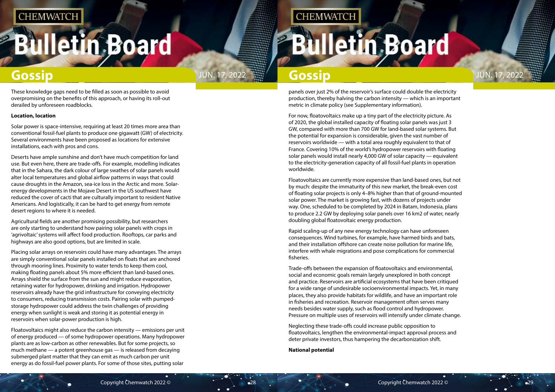# **Bulletin Board**

panels over just 2% of the reservoir's surface could double the electricity production, thereby halving the carbon intensity — which is an important metric in climate policy (see Supplementary information).

For now, floatovoltaics make up a tiny part of the electricity picture. As of 2020, the global installed capacity of floating solar panels was just 3 GW, compared with more than 700 GW for land-based solar systems. But the potential for expansion is considerable, given the vast number of reservoirs worldwide — with a total area roughly equivalent to that of France. Covering 10% of the world's hydropower reservoirs with floating solar panels would install nearly 4,000 GW of solar capacity — equivalent to the electricity-generation capacity of all fossil-fuel plants in operation worldwide.

Floatovoltaics are currently more expensive than land-based ones, but not by much: despite the immaturity of this new market, the break-even cost of floating solar projects is only 4–8% higher than that of ground-mounted solar power. The market is growing fast, with dozens of projects under way. One, scheduled to be completed by 2024 in Batam, Indonesia, plans to produce 2.2 GW by deploying solar panels over 16 km2 of water, nearly doubling global floatovoltaic energy production.

Rapid scaling-up of any new energy technology can have unforeseen consequences. Wind turbines, for example, have harmed birds and bats, and their installation offshore can create noise pollution for marine life, interfere with whale migrations and pose complications for commercial fisheries.

Trade-offs between the expansion of floatovoltaics and environmental, social and economic goals remain largely unexplored in both concept and practice. Reservoirs are artificial ecosystems that have been critiqued for a wide range of undesirable socioenvironmental impacts. Yet, in many places, they also provide habitats for wildlife, and have an important role in fisheries and recreation. Reservoir management often serves many needs besides water supply, such as flood control and hydropower. Pressure on multiple uses of reservoirs will intensify under climate change.

Neglecting these trade-offs could increase public opposition to floatovoltaics, lengthen the environmental-impact approval process and deter private investors, thus hampering the decarbonization shift.

**National potential**



These knowledge gaps need to be filled as soon as possible to avoid overpromising on the benefits of this approach, or having its roll-out derailed by unforeseen roadblocks.

#### **Location, location**

Solar power is space-intensive, requiring at least 20 times more area than conventional fossil-fuel plants to produce one gigawatt (GW) of electricity. Several environments have been proposed as locations for extensive installations, each with pros and cons.

Deserts have ample sunshine and don't have much competition for land use. But even here, there are trade-offs. For example, modelling indicates that in the Sahara, the dark colour of large swathes of solar panels would alter local temperatures and global airflow patterns in ways that could cause droughts in the Amazon, sea-ice loss in the Arctic and more. Solarenergy developments in the Mojave Desert in the US southwest have reduced the cover of cacti that are culturally important to resident Native Americans. And logistically, it can be hard to get energy from remote desert regions to where it is needed.

Agricultural fields are another promising possibility, but researchers are only starting to understand how pairing solar panels with crops in 'agrivoltaic' systems will affect food production. Rooftops, car parks and highways are also good options, but are limited in scale.

Placing solar arrays on reservoirs could have many advantages. The arrays are simply conventional solar panels installed on floats that are anchored through mooring lines. Proximity to water tends to keep them cool, making floating panels about 5% more efficient than land-based ones. Arrays shield the surface from the sun and might reduce evaporation, retaining water for hydropower, drinking and irrigation. Hydropower reservoirs already have the grid infrastructure for conveying electricity to consumers, reducing transmission costs. Pairing solar with pumpedstorage hydropower could address the twin challenges of providing energy when sunlight is weak and storing it as potential energy in reservoirs when solar-power production is high.

Floatovoltaics might also reduce the carbon intensity — emissions per unit of energy produced — of some hydropower operations. Many hydropower plants are as low-carbon as other renewables. But for some projects, so much methane — a potent greenhouse gas — is released from decaying submerged plant matter that they can emit as much carbon per unit energy as do fossil-fuel power plants. For some of those sites, putting solar

## **CHEMWATCH**

## **Illetin Board**

## **Gossip Gossip JUN. 17, 2022 <b>Gossip** Gossip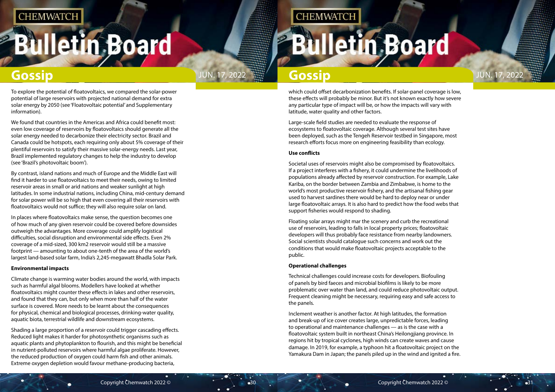# **Illetin Board**



which could offset decarbonization benefits. If solar-panel coverage is low, these effects will probably be minor. But it's not known exactly how severe any particular type of impact will be, or how the impacts will vary with latitude, water quality and other factors.

Large-scale field studies are needed to evaluate the response of ecosystems to floatovoltaic coverage. Although several test sites have been deployed, such as the Tengeh Reservoir testbed in Singapore, most research efforts focus more on engineering feasibility than ecology.

#### **Use conflicts**

Societal uses of reservoirs might also be compromised by floatovoltaics. If a project interferes with a fishery, it could undermine the livelihoods of populations already affected by reservoir construction. For example, Lake Kariba, on the border between Zambia and Zimbabwe, is home to the world's most productive reservoir fishery, and the artisanal fishing gear used to harvest sardines there would be hard to deploy near or under large floatovoltaic arrays. It is also hard to predict how the food webs that support fisheries would respond to shading.

Floating solar arrays might mar the scenery and curb the recreational use of reservoirs, leading to falls in local property prices; floatovoltaic developers will thus probably face resistance from nearby landowners. Social scientists should catalogue such concerns and work out the conditions that would make floatovoltaic projects acceptable to the public.

#### **Operational challenges**

Technical challenges could increase costs for developers. Biofouling of panels by bird faeces and microbial biofilms is likely to be more problematic over water than land, and could reduce photovoltaic output. Frequent cleaning might be necessary, requiring easy and safe access to the panels.

Inclement weather is another factor. At high latitudes, the formation and break-up of ice cover creates large, unpredictable forces, leading to operational and maintenance challenges — as is the case with a floatovoltaic system built in northeast China's Heilongjiang province. In regions hit by tropical cyclones, high winds can create waves and cause damage. In 2019, for example, a typhoon hit a floatovoltaic project on the Yamakura Dam in Japan; the panels piled up in the wind and ignited a fire.

To explore the potential of floatovoltaics, we compared the solar-power potential of large reservoirs with projected national demand for extra solar energy by 2050 (see 'Floatovoltaic potential' and Supplementary information).

We found that countries in the Americas and Africa could benefit most: even low coverage of reservoirs by floatovoltaics should generate all the solar energy needed to decarbonize their electricity sector. Brazil and Canada could be hotspots, each requiring only about 5% coverage of their plentiful reservoirs to satisfy their massive solar-energy needs. Last year, Brazil implemented regulatory changes to help the industry to develop (see 'Brazil's photovoltaic boom').

By contrast, island nations and much of Europe and the Middle East will find it harder to use floatovoltaics to meet their needs, owing to limited reservoir areas in small or arid nations and weaker sunlight at high latitudes. In some industrial nations, including China, mid-century demand for solar power will be so high that even covering all their reservoirs with floatovoltaics would not suffice; they will also require solar on land.

In places where floatovoltaics make sense, the question becomes one of how much of any given reservoir could be covered before downsides outweigh the advantages. More coverage could amplify logistical difficulties, social disruption and environmental side effects. Even 2% coverage of a mid-sized, 300 km2 reservoir would still be a massive footprint — amounting to about one-tenth of the area of the world's largest land-based solar farm, India's 2,245-megawatt Bhadla Solar Park.

#### **Environmental impacts**

Climate change is warming water bodies around the world, with impacts such as harmful algal blooms. Modellers have looked at whether floatovoltaics might counter these effects in lakes and other reservoirs, and found that they can, but only when more than half of the water surface is covered. More needs to be learnt about the consequences for physical, chemical and biological processes, drinking-water quality, aquatic biota, terrestrial wildlife and downstream ecosystems.

Shading a large proportion of a reservoir could trigger cascading effects. Reduced light makes it harder for photosynthetic organisms such as aquatic plants and phytoplankton to flourish, and this might be beneficial in nutrient-polluted reservoirs where harmful algae proliferate. However, the reduced production of oxygen could harm fish and other animals. Extreme oxygen depletion would favour methane-producing bacteria,

## **CHEMWATCH**

**Iletin Board**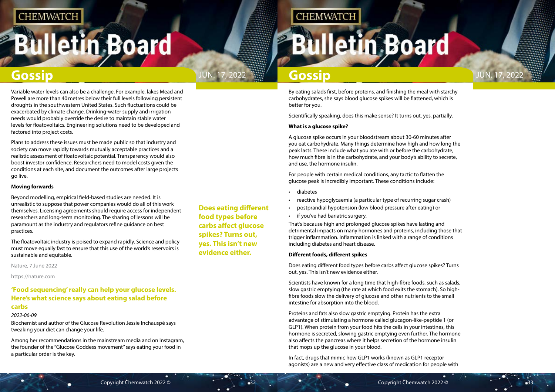# <span id="page-16-0"></span>**Illetin Board**



**Does eating different food types before carbs affect glucose spikes? Turns out, yes. This isn't new evidence either.**

## **CHEMWATCH**

# **Illetin Board**

## **Gossip Gossip**

By eating salads first, before proteins, and finishing the meal with starchy carbohydrates, she says blood glucose spikes will be flattened, which is better for you.

Scientifically speaking, does this make sense? It turns out, yes, partially.

#### **What is a glucose spike?**

A glucose spike occurs in your bloodstream about 30-60 minutes after you eat carbohydrate. Many things determine how high and how long the peak lasts. These include what you ate with or before the carbohydrate, how much fibre is in the carbohydrate, and your body's ability to secrete, and use, the hormone insulin.

For people with certain medical conditions, any tactic to flatten the glucose peak is incredibly important. These conditions include:

- diabetes
- reactive hypoglycaemia (a particular type of recurring sugar crash)
- postprandial hypotension (low blood pressure after eating) or
- if you've had bariatric surgery.

That's because high and prolonged glucose spikes have lasting and detrimental impacts on many hormones and proteins, including those that trigger inflammation. Inflammation is linked with a range of conditions including diabetes and heart disease.

#### **Different foods, different spikes**

Does eating different food types before carbs affect glucose spikes? Turns out, yes. This isn't new evidence either.

Scientists have known for a long time that high-fibre foods, such as salads, slow gastric emptying (the rate at which food exits the stomach). So highfibre foods slow the delivery of glucose and other nutrients to the small intestine for absorption into the blood.

Proteins and fats also slow gastric emptying. Protein has the extra advantage of stimulating a hormone called glucagon-like-peptide 1 (or GLP1). When protein from your food hits the cells in your intestines, this hormone is secreted, slowing gastric emptying even further. The hormone also affects the pancreas where it helps secretion of the hormone insulin that mops up the glucose in your blood.

In fact, drugs that mimic how GLP1 works (known as GLP1 receptor agonists) are a new and very effective class of medication for people with

Variable water levels can also be a challenge. For example, lakes Mead and Powell are more than 40metres below their full levels following persistent droughts in the southwestern United States. Such fluctuations could be exacerbated by climate change. Drinking-water supply and irrigation needs would probably override the desire to maintain stable water levels for floatovoltaics. Engineering solutions need to be developed and factored into project costs.

Plans to address these issues must be made public so that industry and society can move rapidly towards mutually acceptable practices and a realistic assessment of floatovoltaic potential. Transparency would also boost investor confidence. Researchers need to model costs given the conditions at each site, and document the outcomes after large projects go live.

#### **Moving forwards**

Beyond modelling, empirical field-based studies are needed. It is unrealistic to suppose that power companies would do all of this work themselves. Licensing agreements should require access for independent researchers and long-term monitoring. The sharing of lessons will be paramount as the industry and regulators refine guidance on best practices.

The floatovoltaic industry is poised to expand rapidly. Science and policy must move equally fast to ensure that this use of the world's reservoirs is sustainable and equitable.

Nature, 7 June 2022

https://nature.com

### **'Food sequencing' really can help your glucose levels. Here's what science says about eating salad before carbs**

### *2022-06-09*

Biochemist and author of the Glucose Revolution Jessie Inchauspé says tweaking your diet can change your life.

Among her recommendations in the mainstream media and on Instagram, the founder of the "Glucose Goddess movement" says eating your food in a particular order is the key.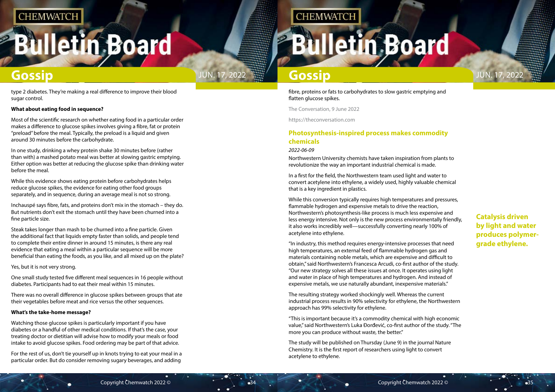# <span id="page-17-0"></span>**Illetin Board**



### **Catalysis driven by light and water produces polymergrade ethylene.**

fibre, proteins or fats to carbohydrates to slow gastric emptying and flatten glucose spikes.

The Conversation, 9 June 2022

https://theconversation.com

### **Photosynthesis-inspired process makes commodity chemicals**

#### *2022-06-09*

Northwestern University chemists have taken inspiration from plants to revolutionize the way an important industrial chemical is made.

In a first for the field, the Northwestern team used light and water to convert acetylene into ethylene, a widely used, highly valuable chemical that is a key ingredient in plastics.

While this conversion typically requires high temperatures and pressures, flammable hydrogen and expensive metals to drive the reaction, Northwestern's photosynthesis-like process is much less expensive and less energy intensive. Not only is the new process environmentally friendly, it also works incredibly well—successfully converting nearly 100% of acetylene into ethylene.

"In industry, this method requires energy-intensive processes that need high temperatures, an external feed of flammable hydrogen gas and materials containing noble metals, which are expensive and difficult to obtain," said Northwestern's Francesca Arcudi, co-first author of the study. "Our new strategy solves all these issues at once. It operates using light and water in place of high temperatures and hydrogen. And instead of expensive metals, we use naturally abundant, inexpensive materials."

The resulting strategy worked shockingly well. Whereas the current industrial process results in 90% selectivity for ethylene, the Northwestern approach has 99% selectivity for ethylene.

"This is important because it's a commodity chemical with high economic value," said Northwestern's Luka Ðorđević, co-first author of the study. "The more you can produce without waste, the better."

The study will be published on Thursday (June 9) in the journal Nature Chemistry. It is the first report of researchers using light to convert acetylene to ethylene.

type 2 diabetes. They're making a real difference to improve their blood sugar control.

#### **What about eating food in sequence?**

Most of the scientific research on whether eating food in a particular order makes a difference to glucose spikes involves giving a fibre, fat or protein "preload" before the meal. Typically, the preload is a liquid and given around 30 minutes before the carbohydrate.

In one study, drinking a whey protein shake 30 minutes before (rather than with) a mashed potato meal was better at slowing gastric emptying. Either option was better at reducing the glucose spike than drinking water before the meal.

While this evidence shows eating protein before carbohydrates helps reduce glucose spikes, the evidence for eating other food groups separately, and in sequence, during an average meal is not so strong.

Inchauspé says fibre, fats, and proteins don't mix in the stomach – they do. But nutrients don't exit the stomach until they have been churned into a fine particle size.

Steak takes longer than mash to be churned into a fine particle. Given the additional fact that liquids empty faster than solids, and people tend to complete their entire dinner in around 15 minutes, is there any real evidence that eating a meal within a particular sequence will be more beneficial than eating the foods, as you like, and all mixed up on the plate?

Yes, but it is not very strong.

One small study tested five different meal sequences in 16 people without diabetes. Participants had to eat their meal within 15 minutes.

There was no overall difference in glucose spikes between groups that ate their vegetables before meat and rice versus the other sequences.

#### **What's the take-home message?**

Watching those glucose spikes is particularly important if you have diabetes or a handful of other medical conditions. If that's the case, your treating doctor or dietitian will advise how to modify your meals or food intake to avoid glucose spikes. Food ordering may be part of that advice.

For the rest of us, don't tie yourself up in knots trying to eat your meal in a particular order. But do consider removing sugary beverages, and adding

## **CHEMWATCH**

# **Iletin Board**

## **Gossip Gossip Gossip Gossip Gossip**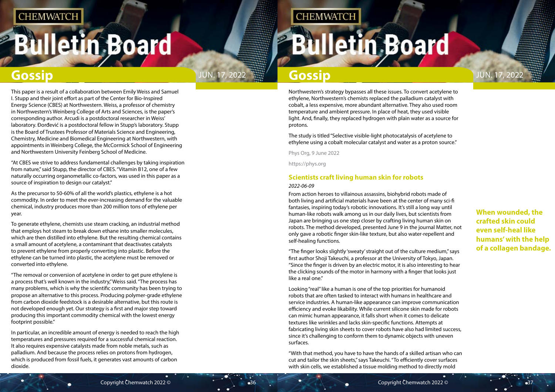# **Bulletin Board**

<span id="page-18-0"></span>

**When wounded, the crafted skin could even self-heal like humans' with the help of a collagen bandage.**

Northwestern's strategy bypasses all these issues. To convert acetylene to ethylene, Northwestern's chemists replaced the palladium catalyst with cobalt, a less expensive, more abundant alternative. They also used room temperature and ambient pressure. In place of heat, they used visible light. And, finally, they replaced hydrogen with plain water as a source for protons.

The study is titled "Selective visible-light photocatalysis of acetylene to ethylene using a cobalt molecular catalyst and water as a proton source."

Phys Org, 9 June 2022

https://phys.org

### **Scientists craft living human skin for robots** *2022-06-09*

From action heroes to villainous assassins, biohybrid robots made of both living and artificial materials have been at the center of many sci-fi fantasies, inspiring today's robotic innovations. It's still a long way until human-like robots walk among us in our daily lives, but scientists from Japan are bringing us one step closer by crafting living human skin on robots. The method developed, presented June 9 in the journal Matter, not only gave a robotic finger skin-like texture, but also water-repellent and self-healing functions.

"The finger looks slightly 'sweaty' straight out of the culture medium," says first author Shoji Takeuchi, a professor at the University of Tokyo, Japan. "Since the finger is driven by an electric motor, it is also interesting to hear the clicking sounds of the motor in harmony with a finger that looks just like a real one."

Looking "real" like a human is one of the top priorities for humanoid robots that are often tasked to interact with humans in healthcare and service industries. A human-like appearance can improve communication efficiency and evoke likability. While current silicone skin made for robots can mimic human appearance, it falls short when it comes to delicate textures like wrinkles and lacks skin-specific functions. Attempts at fabricating living skin sheets to cover robots have also had limited success, since it's challenging to conform them to dynamic objects with uneven surfaces.

"With that method, you have to have the hands of a skilled artisan who can cut and tailor the skin sheets," says Takeuchi. "To efficiently cover surfaces with skin cells, we established a tissue molding method to directly mold

This paper is a result of a collaboration between Emily Weiss and Samuel I. Stupp and their joint effort as part of the Center for Bio-Inspired Energy Science (CBES) at Northwestern. Weiss, a professor of chemistry in Northwestern's Weinberg College of Arts and Sciences, is the paper's corresponding author. Arcudi is a postdoctoral researcher in Weiss' laboratory. Ðorđević is a postdoctoral fellow in Stupp's laboratory. Stupp is the Board of Trustees Professor of Materials Science and Engineering, Chemistry, Medicine and Biomedical Engineering at Northwestern, with appointments in Weinberg College, the McCormick School of Engineering and Northwestern University Feinberg School of Medicine.

"At CBES we strive to address fundamental challenges by taking inspiration from nature," said Stupp, the director of CBES. "Vitamin B12, one of a few naturally occurring organometallic co-factors, was used in this paper as a source of inspiration to design our catalyst."

As the precursor to 50-60% of all the world's plastics, ethylene is a hot commodity. In order to meet the ever-increasing demand for the valuable chemical, industry produces more than 200 million tons of ethylene per year.

To generate ethylene, chemists use steam cracking, an industrial method that employs hot steam to break down ethane into smaller molecules, which are then distilled into ethylene. But the resulting chemical contains a small amount of acetylene, a contaminant that deactivates catalysts to prevent ethylene from properly converting into plastic. Before the ethylene can be turned into plastic, the acetylene must be removed or converted into ethylene.

"The removal or conversion of acetylene in order to get pure ethylene is a process that's well known in the industry," Weiss said. "The process has many problems, which is why the scientific community has been trying to propose an alternative to this process. Producing polymer-grade ethylene from carbon dioxide feedstock is a desirable alternative, but this route is not developed enough yet. Our strategy is a first and major step toward producing this important commodity chemical with the lowest energy footprint possible."

In particular, an incredible amount of energy is needed to reach the high temperatures and pressures required for a successful chemical reaction. It also requires expensive catalysts made from noble metals, such as palladium. And because the process relies on protons from hydrogen, which is produced from fossil fuels, it generates vast amounts of carbon dioxide.

## **CHEMWATCH**

# **Bulletin Board**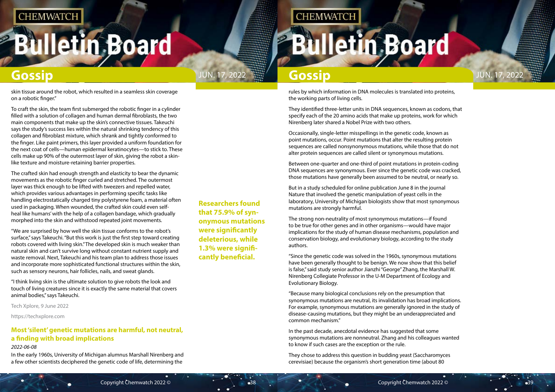# **Bulletin Board**

<span id="page-19-0"></span>

**Researchers found that 75.9% of synonymous mutations were significantly deleterious, while 1.3% were significantly beneficial.**

**CHEMWATCH** 

rules by which information in DNA molecules is translated into proteins, the working parts of living cells.

They identified three-letter units in DNA sequences, known as codons, that specify each of the 20 amino acids that make up proteins, work for which Nirenberg later shared a Nobel Prize with two others.

Occasionally, single-letter misspellings in the genetic code, known as point mutations, occur. Point mutations that alter the resulting protein sequences are called nonsynonymous mutations, while those that do not alter protein sequences are called silent or synonymous mutations.

Between one-quarter and one-third of point mutations in protein-coding DNA sequences are synonymous. Ever since the genetic code was cracked, those mutations have generally been assumed to be neutral, or nearly so.

But in a study scheduled for online publication June 8 in the journal Nature that involved the genetic manipulation of yeast cells in the laboratory, University of Michigan biologists show that most synonymous mutations are strongly harmful.

The strong non-neutrality of most synonymous mutations—if found to be true for other genes and in other organisms—would have major implications for the study of human disease mechanisms, population and conservation biology, and evolutionary biology, according to the study authors.

"Since the genetic code was solved in the 1960s, synonymous mutations have been generally thought to be benign. We now show that this belief is false," said study senior author Jianzhi "George" Zhang, the Marshall W. Nirenberg Collegiate Professor in the U-M Department of Ecology and Evolutionary Biology.

"Because many biological conclusions rely on the presumption that synonymous mutations are neutral, its invalidation has broad implications. For example, synonymous mutations are generally ignored in the study of disease-causing mutations, but they might be an underappreciated and common mechanism."

In the past decade, anecdotal evidence has suggested that some synonymous mutations are nonneutral. Zhang and his colleagues wanted to know if such cases are the exception or the rule.

They chose to address this question in budding yeast (Saccharomyces cerevisiae) because the organism's short generation time (about 80

skin tissue around the robot, which resulted in a seamless skin coverage on a robotic finger."

To craft the skin, the team first submerged the robotic finger in a cylinder filled with a solution of collagen and human dermal fibroblasts, the two main components that make up the skin's connective tissues. Takeuchi says the study's success lies within the natural shrinking tendency of this collagen and fibroblast mixture, which shrank and tightly conformed to the finger. Like paint primers, this layer provided a uniform foundation for the next coat of cells—human epidermal keratinocytes—to stick to. These cells make up 90% of the outermost layer of skin, giving the robot a skinlike texture and moisture-retaining barrier properties.

The crafted skin had enough strength and elasticity to bear the dynamic movements as the robotic finger curled and stretched. The outermost layer was thick enough to be lifted with tweezers and repelled water, which provides various advantages in performing specific tasks like handling electrostatically charged tiny polystyrene foam, a material often used in packaging. When wounded, the crafted skin could even selfheal like humans' with the help of a collagen bandage, which gradually morphed into the skin and withstood repeated joint movements.

"We are surprised by how well the skin tissue conforms to the robot's surface," says Takeuchi. "But this work is just the first step toward creating robots covered with living skin." The developed skin is much weaker than natural skin and can't survive long without constant nutrient supply and waste removal. Next, Takeuchi and his team plan to address those issues and incorporate more sophisticated functional structures within the skin, such as sensory neurons, hair follicles, nails, and sweat glands.

"I think living skin is the ultimate solution to give robots the look and touch of living creatures since it is exactly the same material that covers animal bodies," says Takeuchi.

Tech Xplore, 9 June 2022

https://techxplore.com

### **Most 'silent' genetic mutations are harmful, not neutral, a finding with broad implications**

#### *2022-06-08*

In the early 1960s, University of Michigan alumnus Marshall Nirenberg and a few other scientists deciphered the genetic code of life, determining the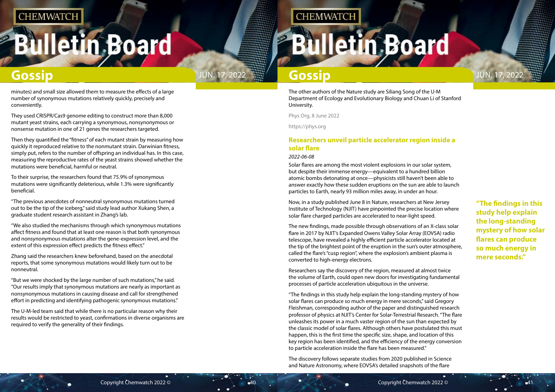# <span id="page-20-0"></span>**Bulletin Board**



**"The findings in this study help explain the long-standing mystery of how solar flares can produce so much energy in mere seconds."**

The other authors of the Nature study are Siliang Song of the U-M Department of Ecology and Evolutionary Biology and Chuan Li of Stanford University.

Phys Org, 8 June 2022

https://phys.org

### **Researchers unveil particle accelerator region inside a solar flare**

#### *2022-06-08*

Solar flares are among the most violent explosions in our solar system, but despite their immense energy—equivalent to a hundred billion atomic bombs detonating at once—physicists still haven't been able to answer exactly how these sudden eruptions on the sun are able to launch particles to Earth, nearly 93 million miles away, in under an hour.

Now, in a study published June 8 in Nature, researchers at New Jersey Institute of Technology (NJIT) have pinpointed the precise location where solar flare charged particles are accelerated to near-light speed.

The new findings, made possible through observations of an X-class solar flare in 2017 by NJIT's Expanded Owens Valley Solar Array (EOVSA) radio telescope, have revealed a highly efficient particle accelerator located at the tip of the brightest point of the eruption in the sun's outer atmosphere, called the flare's "cusp region", where the explosion's ambient plasma is converted to high-energy electrons.

Researchers say the discovery of the region, measured at almost twice the volume of Earth, could open new doors for investigating fundamental processes of particle acceleration ubiquitous in the universe.

"The findings in this study help explain the long-standing mystery of how solar flares can produce so much energy in mere seconds," said Gregory Fleishman, corresponding author of the paper and distinguished research professor of physics at NJIT's Center for Solar-Terrestrial Research. "The flare unleashes its power in a much vaster region of the sun than expected by the classic model of solar flares. Although others have postulated this must happen, this is the first time the specific size, shape, and location of this key region has been identified, and the efficiency of the energy conversion to particle acceleration inside the flare has been measured."

The discovery follows separate studies from 2020 published in Science and Nature Astronomy, where EOVSA's detailed snapshots of the flare

minutes) and small size allowed them to measure the effects of a large number of synonymous mutations relatively quickly, precisely and conveniently.

They used CRISPR/Cas9 genome editing to construct more than 8,000 mutant yeast strains, each carrying a synonymous, nonsynonymous or nonsense mutation in one of 21 genes the researchers targeted.

Then they quantified the "fitness" of each mutant strain by measuring how quickly it reproduced relative to the nonmutant strain. Darwinian fitness, simply put, refers to the number of offspring an individual has. In this case, measuring the reproductive rates of the yeast strains showed whether the mutations were beneficial, harmful or neutral.

To their surprise, the researchers found that 75.9% of synonymous mutations were significantly deleterious, while 1.3% were significantly beneficial.

"The previous anecdotes of nonneutral synonymous mutations turned out to be the tip of the iceberg," said study lead author Xukang Shen, a graduate student research assistant in Zhang's lab.

"We also studied the mechanisms through which synonymous mutations affect fitness and found that at least one reason is that both synonymous and nonsynonymous mutations alter the gene-expression level, and the extent of this expression effect predicts the fitness effect."

Zhang said the researchers knew beforehand, based on the anecdotal reports, that some synonymous mutations would likely turn out to be nonneutral.

"But we were shocked by the large number of such mutations," he said. "Our results imply that synonymous mutations are nearly as important as nonsynonymous mutations in causing disease and call for strengthened effort in predicting and identifying pathogenic synonymous mutations."

The U-M-led team said that while there is no particular reason why their results would be restricted to yeast, confirmations in diverse organisms are required to verify the generality of their findings.

## **CHEMWATCH**

**Illetin Board** 

## **Gossip Gossip Gossip Gossip Gossip**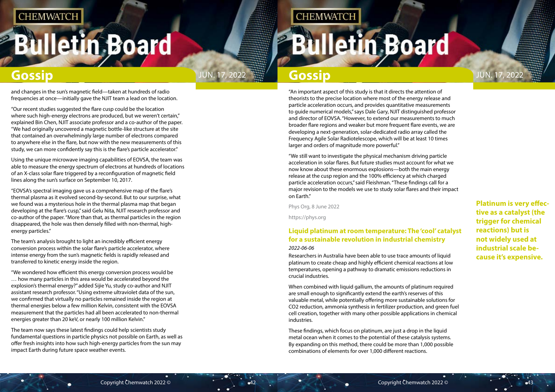# <span id="page-21-0"></span>**Bulletin Board**

**Platinum is very effective as a catalyst (the trigger for chemical reactions) but is not widely used at industrial scale because it's expensive.**

"An important aspect of this study is that it directs the attention of theorists to the precise location where most of the energy release and particle acceleration occurs, and provides quantitative measurements to guide numerical models," says Dale Gary, NJIT distinguished professor and director of EOVSA. "However, to extend our measurements to much broader flare regions and weaker but more frequent flare events, we are developing a next-generation, solar-dedicated radio array called the Frequency Agile Solar Radiotelescope, which will be at least 10 times larger and orders of magnitude more powerful."

"We still want to investigate the physical mechanism driving particle acceleration in solar flares. But future studies must account for what we now know about these enormous explosions—both the main energy release at the cusp region and the 100% efficiency at which charged particle acceleration occurs," said Fleishman. "These findings call for a major revision to the models we use to study solar flares and their impact on Earth."

Phys Org, 8 June 2022

https://phys.org

### **Liquid platinum at room temperature: The 'cool' catalyst for a sustainable revolution in industrial chemistry**

### *2022-06-06*

Researchers in Australia have been able to use trace amounts of liquid platinum to create cheap and highly efficient chemical reactions at low temperatures, opening a pathway to dramatic emissions reductions in crucial industries.

When combined with liquid gallium, the amounts of platinum required are small enough to significantly extend the earth's reserves of this valuable metal, while potentially offering more sustainable solutions for CO2 reduction, ammonia synthesis in fertilizer production, and green fuel cell creation, together with many other possible applications in chemical industries.

These findings, which focus on platinum, are just a drop in the liquid metal ocean when it comes to the potential of these catalysis systems. By expanding on this method, there could be more than 1,000 possible combinations of elements for over 1,000 different reactions.

and changes in the sun's magnetic field—taken at hundreds of radio frequencies at once—initially gave the NJIT team a lead on the location.

"Our recent studies suggested the flare cusp could be the location where such high-energy electrons are produced, but we weren't certain," explained Bin Chen, NJIT associate professor and a co-author of the paper. "We had originally uncovered a magnetic bottle-like structure at the site that contained an overwhelmingly large number of electrons compared to anywhere else in the flare, but now with the new measurements of this study, we can more confidently say this is the flare's particle accelerator."

Using the unique microwave imaging capabilities of EOVSA, the team was able to measure the energy spectrum of electrons at hundreds of locations of an X-class solar flare triggered by a reconfiguration of magnetic field lines along the sun's surface on September 10, 2017.

"EOVSA's spectral imaging gave us a comprehensive map of the flare's thermal plasma as it evolved second-by-second. But to our surprise, what we found was a mysterious hole in the thermal plasma map that began developing at the flare's cusp," said Gelu Nita, NJIT research professor and co-author of the paper. "More than that, as thermal particles in the region disappeared, the hole was then densely filled with non-thermal, highenergy particles."

The team's analysis brought to light an incredibly efficient energy conversion process within the solar flare's particle accelerator, where intense energy from the sun's magnetic fields is rapidly released and transferred to kinetic energy inside the region.

"We wondered how efficient this energy conversion process would be … how many particles in this area would be accelerated beyond the explosion's thermal energy?" added Sijie Yu, study co-author and NJIT assistant research professor. "Using extreme ultraviolet data of the sun, we confirmed that virtually no particles remained inside the region at thermal energies below a few million Kelvin, consistent with the EOVSA measurement that the particles had all been accelerated to non-thermal energies greater than 20 keV, or nearly 100 million Kelvin."

The team now says these latest findings could help scientists study fundamental questions in particle physics not possible on Earth, as well as offer fresh insights into how such high-energy particles from the sun may impact Earth during future space weather events.

## **CHEMWATCH**

# **Illetin Board**

## **Gossip Gossip JUN. 17, 2022** JUN. 17, 2022 **Gossip Gossip** JUN. 17, 2022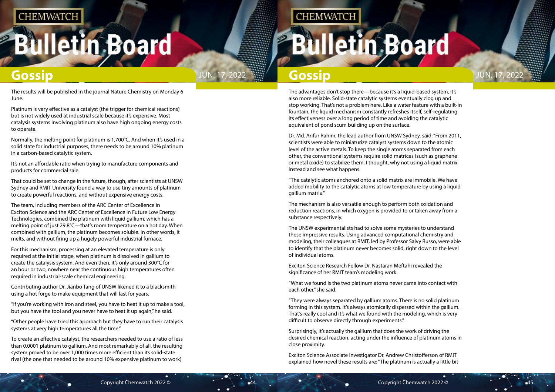# **Iletin Board**

**Gossip Gossip JUN. 17, 2022 <b>Gossip** Gossip

The advantages don't stop there—because it's a liquid-based system, it's also more reliable. Solid-state catalytic systems eventually clog up and stop working. That's not a problem here. Like a water feature with a built-in fountain, the liquid mechanism constantly refreshes itself, self-regulating its effectiveness over a long period of time and avoiding the catalytic equivalent of pond scum building up on the surface.

Dr. Md. Arifur Rahim, the lead author from UNSW Sydney, said: "From 2011, scientists were able to miniaturize catalyst systems down to the atomic level of the active metals. To keep the single atoms separated from each other, the conventional systems require solid matrices (such as graphene or metal oxide) to stabilize them. I thought, why not using a liquid matrix instead and see what happens.

"The catalytic atoms anchored onto a solid matrix are immobile. We have added mobility to the catalytic atoms at low temperature by using a liquid gallium matrix."

The mechanism is also versatile enough to perform both oxidation and reduction reactions, in which oxygen is provided to or taken away from a substance respectively.

The UNSW experimentalists had to solve some mysteries to understand these impressive results. Using advanced computational chemistry and modeling, their colleagues at RMIT, led by Professor Salvy Russo, were able to identify that the platinum never becomes solid, right down to the level of individual atoms.

Exciton Science Research Fellow Dr. Nastaran Meftahi revealed the significance of her RMIT team's modeling work.

"What we found is the two platinum atoms never came into contact with each other," she said.

"They were always separated by gallium atoms. There is no solid platinum forming in this system. It's always atomically dispersed within the gallium. That's really cool and it's what we found with the modeling, which is very difficult to observe directly through experiments."

Surprisingly, it's actually the gallium that does the work of driving the desired chemical reaction, acting under the influence of platinum atoms in close proximity.

Exciton Science Associate Investigator Dr. Andrew Christofferson of RMIT explained how novel these results are: "The platinum is actually a little bit



The results will be published in the journal Nature Chemistry on Monday 6 June.

Platinum is very effective as a catalyst (the trigger for chemical reactions) but is not widely used at industrial scale because it's expensive. Most catalysis systems involving platinum also have high ongoing energy costs to operate.

Normally, the melting point for platinum is 1,700°C. And when it's used in a solid state for industrial purposes, there needs to be around 10% platinum in a carbon-based catalytic system.

It's not an affordable ratio when trying to manufacture components and products for commercial sale.

That could be set to change in the future, though, after scientists at UNSW Sydney and RMIT University found a way to use tiny amounts of platinum to create powerful reactions, and without expensive energy costs.

The team, including members of the ARC Center of Excellence in Exciton Science and the ARC Center of Excellence in Future Low Energy Technologies, combined the platinum with liquid gallium, which has a melting point of just 29.8°C—that's room temperature on a hot day. When combined with gallium, the platinum becomes soluble. In other words, it melts, and without firing up a hugely powerful industrial furnace.

For this mechanism, processing at an elevated temperature is only required at the initial stage, when platinum is dissolved in gallium to create the catalysis system. And even then, it's only around 300°C for an hour or two, nowhere near the continuous high temperatures often required in industrial-scale chemical engineering.

Contributing author Dr. Jianbo Tang of UNSW likened it to a blacksmith using a hot forge to make equipment that will last for years.

"If you're working with iron and steel, you have to heat it up to make a tool, but you have the tool and you never have to heat it up again," he said.

"Other people have tried this approach but they have to run their catalysis systems at very high temperatures all the time."

To create an effective catalyst, the researchers needed to use a ratio of less than 0.0001 platinum to gallium. And most remarkably of all, the resulting system proved to be over 1,000 times more efficient than its solid-state rival (the one that needed to be around 10% expensive platinum to work)

**CHEMWATCH**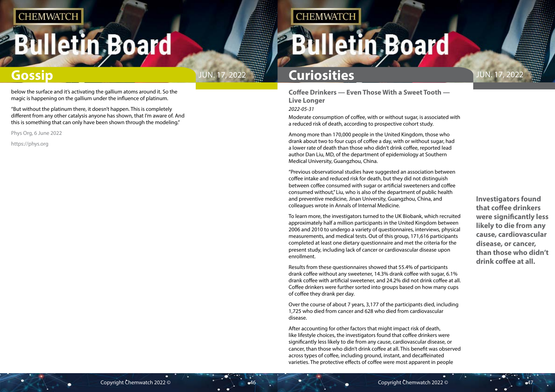# <span id="page-23-0"></span>**Bulletin Board**



Jun. 17, 2022

**Investigators found that coffee drinkers were significantly less likely to die from any cause, cardiovascular disease, or cancer, than those who didn't drink coffee at all.**

## **Gossip**

**Coffee Drinkers — Even Those With a Sweet Tooth — Live Longer**

#### *2022-05-31*

Moderate consumption of coffee, with or without sugar, is associated with a reduced risk of death, according to prospective cohort study.

Among more than 170,000 people in the United Kingdom, those who drank about two to four cups of coffee a day, with or without sugar, had a lower rate of death than those who didn't drink coffee, reported lead author Dan Liu, MD, of the department of epidemiology at Southern Medical University, Guangzhou, China.

"Previous observational studies have suggested an association between coffee intake and reduced risk for death, but they did not distinguish between coffee consumed with sugar or artificial sweeteners and coffee consumed without," Liu, who is also of the department of public health and preventive medicine, Jinan University, Guangzhou, China, and colleagues wrote in Annals of Internal Medicine.

To learn more, the investigators turned to the UK Biobank, which recruited approximately half a million participants in the United Kingdom between 2006 and 2010 to undergo a variety of questionnaires, interviews, physical measurements, and medical tests. Out of this group, 171,616 participants completed at least one dietary questionnaire and met the criteria for the present study, including lack of cancer or cardiovascular disease upon enrollment.

Results from these questionnaires showed that 55.4% of participants drank coffee without any sweetener, 14.3% drank coffee with sugar, 6.1% drank coffee with artificial sweetener, and 24.2% did not drink coffee at all. Coffee drinkers were further sorted into groups based on how many cups of coffee they drank per day.

Over the course of about 7 years, 3,177 of the participants died, including 1,725 who died from cancer and 628 who died from cardiovascular disease.

After accounting for other factors that might impact risk of death, like lifestyle choices, the investigators found that coffee drinkers were significantly less likely to die from any cause, cardiovascular disease, or cancer, than those who didn't drink coffee at all. This benefit was observed across types of coffee, including ground, instant, and decaffeinated varieties. The protective effects of coffee were most apparent in people

## **Curiosities**

**CHEMWATCH** 

below the surface and it's activating the gallium atoms around it. So the magic is happening on the gallium under the influence of platinum.

"But without the platinum there, it doesn't happen. This is completely different from any other catalysis anyone has shown, that I'm aware of. And this is something that can only have been shown through the modeling."

Phys Org, 6 June 2022

https://phys.org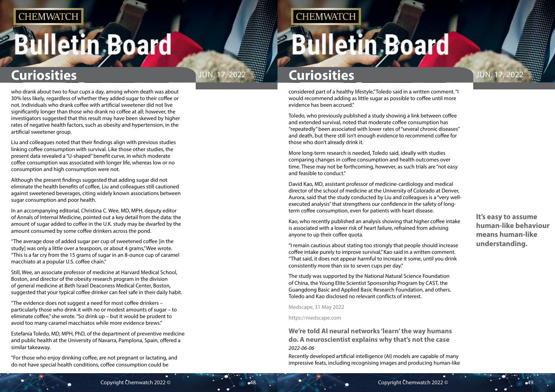# <span id="page-24-0"></span>**Bulletin Board**



**It's easy to assume human-like behaviour means human-like understanding.**

## **Curiosities Curiosities**

considered part of a healthy lifestyle," Toledo said in a written comment. "I would recommend adding as little sugar as possible to coffee until more evidence has been accrued."

Toledo, who previously published a study showing a link between coffee and extended survival, noted that moderate coffee consumption has "repeatedly" been associated with lower rates of "several chronic diseases" and death, but there still isn't enough evidence to recommend coffee for those who don't already drink it.

More long-term research is needed, Toledo said, ideally with studies comparing changes in coffee consumption and health outcomes over time. These may not be forthcoming, however, as such trials are "not easy and feasible to conduct."

David Kao, MD, assistant professor of medicine-cardiology and medical director of the school of medicine at the University of Colorado at Denver, Aurora, said that the study conducted by Liu and colleagues is a "very wellexecuted analysis" that strengthens our confidence in the safety of longterm coffee consumption, even for patients with heart disease.

Kao, who recently published an analysis showing that higher coffee intake is associated with a lower risk of heart failure, refrained from advising anyone to up their coffee quota.

"I remain cautious about stating too strongly that people should increase coffee intake purely to improve survival," Kao said in a written comment. "That said, it does not appear harmful to increase it some, until you drink consistently more than six to seven cups per day."

The study was supported by the National Natural Science Foundation of China, the Young Elite Scientist Sponsorship Program by CAST, the Guangdong Basic and Applied Basic Research Foundation, and others. Toledo and Kao disclosed no relevant conflicts of interest.

Medscape, 31 May 2022

https://medscape.com

**We're told AI neural networks 'learn' the way humans do. A neuroscientist explains why that's not the case** *2022-06-06*

Recently developed artificial intelligence (AI) models are capable of many impressive feats, including recognising images and producing human-like

who drank about two to four cups a day, among whom death was about 30% less likely, regardless of whether they added sugar to their coffee or not. Individuals who drank coffee with artificial sweetener did not live significantly longer than those who drank no coffee at all; however, the investigators suggested that this result may have been skewed by higher rates of negative health factors, such as obesity and hypertension, in the artificial sweetener group.

Liu and colleagues noted that their findings align with previous studies linking coffee consumption with survival. Like those other studies, the present data revealed a "U-shaped" benefit curve, in which moderate coffee consumption was associated with longer life, whereas low or no consumption and high consumption were not.

Although the present findings suggested that adding sugar did not eliminate the health benefits of coffee, Liu and colleagues still cautioned against sweetened beverages, citing widely known associations between sugar consumption and poor health.

In an accompanying editorial, Christina C. Wee, MD, MPH, deputy editor of Annals of Internal Medicine, pointed out a key detail from the data: the amount of sugar added to coffee in the U.K. study may be dwarfed by the amount consumed by some coffee drinkers across the pond.

"The average dose of added sugar per cup of sweetened coffee [in the study] was only a little over a teaspoon, or about 4 grams," Wee wrote. "This is a far cry from the 15 grams of sugar in an 8-ounce cup of caramel macchiato at a popular U.S. coffee chain."

Still, Wee, an associate professor of medicine at Harvard Medical School, Boston, and director of the obesity research program in the division of general medicine at Beth Israel Deaconess Medical Center, Boston, suggested that your typical coffee drinker can feel safe in their daily habit.

"The evidence does not suggest a need for most coffee drinkers – particularly those who drink it with no or modest amounts of sugar – to eliminate coffee," she wrote. "So drink up – but it would be prudent to avoid too many caramel macchiatos while more evidence brews."

Estefanía Toledo, MD, MPH, PhD, of the department of preventive medicine and public health at the University of Navarra, Pamplona, Spain, offered a similar takeaway.

"For those who enjoy drinking coffee, are not pregnant or lactating, and do not have special health conditions, coffee consumption could be

**CHEMWATCH**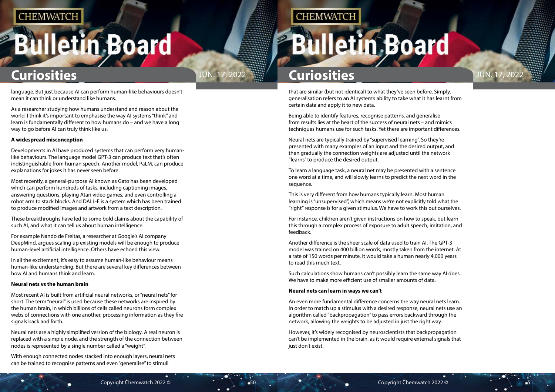# **Illetin Board**



that are similar (but not identical) to what they've seen before. Simply, generalisation refers to an AI system's ability to take what it has learnt from certain data and apply it to new data.

Being able to identify features, recognise patterns, and generalise from results lies at the heart of the success of neural nets – and mimics techniques humans use for such tasks. Yet there are important differences.

Neural nets are typically trained by "supervised learning". So they're presented with many examples of an input and the desired output, and then gradually the connection weights are adjusted until the network "learns" to produce the desired output.

To learn a language task, a neural net may be presented with a sentence one word at a time, and will slowly learns to predict the next word in the sequence.

This is very different from how humans typically learn. Most human learning is "unsupervised", which means we're not explicitly told what the "right" response is for a given stimulus. We have to work this out ourselves.

For instance, children aren't given instructions on how to speak, but learn this through a complex process of exposure to adult speech, imitation, and feedback.

Another difference is the sheer scale of data used to train AI. The GPT-3 model was trained on 400 billion words, mostly taken from the internet. At a rate of 150 words per minute, it would take a human nearly 4,000 years to read this much text.

Such calculations show humans can't possibly learn the same way AI does. We have to make more efficient use of smaller amounts of data.

#### **Neural nets can learn in ways we can't**

An even more fundamental difference concerns the way neural nets learn. In order to match up a stimulus with a desired response, neural nets use an algorithm called "backpropagation" to pass errors backward through the network, allowing the weights to be adjusted in just the right way.

However, it's widely recognised by neuroscientists that backpropagation can't be implemented in the brain, as it would require external signals that just don't exist.

language. But just because AI can perform human-like behaviours doesn't mean it can think or understand like humans.

As a researcher studying how humans understand and reason about the world, I think it's important to emphasise the way AI systems "think" and learn is fundamentally different to how humans do – and we have a long way to go before AI can truly think like us.

#### **A widespread misconception**

Developments in AI have produced systems that can perform very humanlike behaviours. The language model GPT-3 can produce text that's often indistinguishable from human speech. Another model, PaLM, can produce explanations for jokes it has never seen before.

Most recently, a general-purpose AI known as Gato has been developed which can perform hundreds of tasks, including captioning images, answering questions, playing Atari video games, and even controlling a robot arm to stack blocks. And DALL-E is a system which has been trained to produce modified images and artwork from a text description.

These breakthroughs have led to some bold claims about the capability of such AI, and what it can tell us about human intelligence.

For example Nando de Freitas, a researcher at Google's AI company DeepMind, argues scaling up existing models will be enough to produce human-level artificial intelligence. Others have echoed this view.

In all the excitement, it's easy to assume human-like behaviour means human-like understanding. But there are several key differences between how AI and humans think and learn.

#### **Neural nets vs the human brain**

Most recent AI is built from artificial neural networks, or "neural nets" for short. The term "neural" is used because these networks are inspired by the human brain, in which billions of cells called neurons form complex webs of connections with one another, processing information as they fire signals back and forth.

Neural nets are a highly simplified version of the biology. A real neuron is replaced with a simple node, and the strength of the connection between nodes is represented by a single number called a "weight".

With enough connected nodes stacked into enough layers, neural nets can be trained to recognise patterns and even "generalise" to stimuli

## **CHEMWATCH**

# **Iletin Board**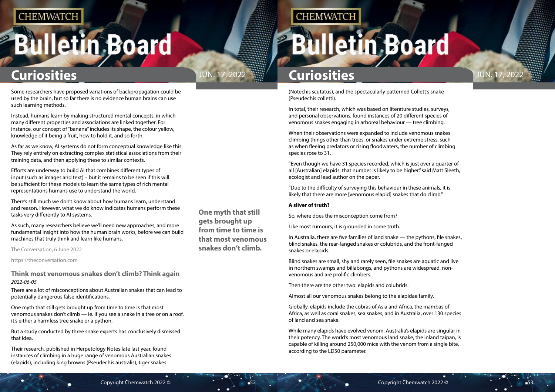# <span id="page-26-0"></span>**Bulletin Board**



### **One myth that still gets brought up from time to time is that most venomous snakes don't climb.**

**CHEMWATCH** 

## **Curiosities Curiosities**

(Notechis scutatus), and the spectacularly patterned Collett's snake (Pseudechis colletti).

In total, their research, which was based on literature studies, surveys, and personal observations, found instances of 20 different species of venomous snakes engaging in arboreal behaviour — tree climbing.

When their observations were expanded to include venomous snakes climbing things other than trees, or snakes under extreme stress, such as when fleeing predators or rising floodwaters, the number of climbing species rose to 31.

"Even though we have 31 species recorded, which is just over a quarter of all [Australian] elapids, that number is likely to be higher," said Matt Sleeth, ecologist and lead author on the paper.

"Due to the difficulty of surveying this behaviour in these animals, it is likely that there are more [venomous elapid] snakes that do climb."

#### **A sliver of truth?**

So, where does the misconception come from?

Like most rumours, it is grounded in some truth.

In Australia, there are five families of land snake — the pythons, file snakes, blind snakes, the rear-fanged snakes or colubrids, and the front-fanged snakes or elapids.

Blind snakes are small, shy and rarely seen, file snakes are aquatic and live in northern swamps and billabongs, and pythons are widespread, nonvenomous and are prolific climbers.

Then there are the other two: elapids and colubrids.

Almost all our venomous snakes belong to the elapidae family.

Globally, elapids include the cobras of Asia and Africa, the mambas of Africa, as well as coral snakes, sea snakes, and in Australia, over 130 species of land and sea snake.

While many elapids have evolved venom, Australia's elapids are singular in their potency. The world's most venomous land snake, the inland taipan, is capable of killing around 250,000 mice with the venom from a single bite, according to the LD50 parameter.

Some researchers have proposed variations of backpropagation could be used by the brain, but so far there is no evidence human brains can use such learning methods.

Instead, humans learn by making structured mental concepts, in which many different properties and associations are linked together. For instance, our concept of "banana" includes its shape, the colour yellow, knowledge of it being a fruit, how to hold it, and so forth.

As far as we know, AI systems do not form conceptual knowledge like this. They rely entirely on extracting complex statistical associations from their training data, and then applying these to similar contexts.

Efforts are underway to build AI that combines different types of input (such as images and text) – but it remains to be seen if this will be sufficient for these models to learn the same types of rich mental representations humans use to understand the world.

There's still much we don't know about how humans learn, understand and reason. However, what we do know indicates humans perform these tasks very differently to AI systems.

As such, many researchers believe we'll need new approaches, and more fundamental insight into how the human brain works, before we can build machines that truly think and learn like humans.

The Conversation, 6 June 2022

https://theconversation.com

### **Think most venomous snakes don't climb? Think again** *2022-06-05*

There are a lot of misconceptions about Australian snakes that can lead to potentially dangerous false identifications.

One myth that still gets brought up from time to time is that most venomous snakes don't climb — ie. if you see a snake in a tree or on a roof, it's either a harmless tree snake or a python.

But a study conducted by three snake experts has conclusively dismissed that idea.

Their research, published in Herpetology Notes late last year, found instances of climbing in a huge range of venomous Australian snakes (elapids), including king browns (Pseudechis australis), tiger snakes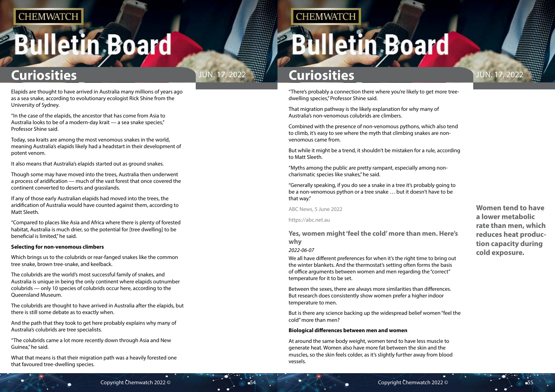# <span id="page-27-0"></span>**Bulletin Board**



**Women tend to have a lower metabolic rate than men, which reduces heat production capacity during cold exposure.**

## **Curiosities Curiosities**

"There's probably a connection there where you're likely to get more treedwelling species," Professor Shine said.

That migration pathway is the likely explanation for why many of Australia's non-venomous colubrids are climbers.

Combined with the presence of non-venomous pythons, which also tend to climb, it's easy to see where the myth that climbing snakes are nonvenomous came from.

But while it might be a trend, it shouldn't be mistaken for a rule, according to Matt Sleeth.

"Myths among the public are pretty rampant, especially among noncharismatic species like snakes," he said.

"Generally speaking, if you do see a snake in a tree it's probably going to be a non-venomous python or a tree snake … but it doesn't have to be that way."

ABC News, 5 June 2022

https://abc.net.au

### **Yes, women might 'feel the cold' more than men. Here's why**

#### *2022-06-07*

We all have different preferences for when it's the right time to bring out the winter blankets. And the thermostat's setting often forms the basis of office arguments between women and men regarding the "correct" temperature for it to be set.

Between the sexes, there are always more similarities than differences. But research does consistently show women prefer a higher indoor temperature to men.

But is there any science backing up the widespread belief women "feel the cold" more than men?

#### **Biological differences between men and women**

At around the same body weight, women tend to have less muscle to generate heat. Women also have more fat between the skin and the muscles, so the skin feels colder, as it's slightly further away from blood vessels.

Elapids are thought to have arrived in Australia many millions of years ago as a sea snake, according to evolutionary ecologist Rick Shine from the University of Sydney.

"In the case of the elapids, the ancestor that has come from Asia to Australia looks to be of a modern-day krait — a sea snake species," Professor Shine said.

Today, sea kraits are among the most venomous snakes in the world, meaning Australia's elapids likely had a headstart in their development of potent venom.

It also means that Australia's elapids started out as ground snakes.

Though some may have moved into the trees, Australia then underwent a process of aridification — much of the vast forest that once covered the continent converted to deserts and grasslands.

If any of those early Australian elapids had moved into the trees, the aridification of Australia would have counted against them, according to Matt Sleeth.

"Compared to places like Asia and Africa where there is plenty of forested habitat, Australia is much drier, so the potential for [tree dwelling] to be beneficial is limited," he said.

#### **Selecting for non-venomous climbers**

Which brings us to the colubrids or rear-fanged snakes like the common tree snake, brown tree-snake, and keelback.

The colubrids are the world's most successful family of snakes, and Australia is unique in being the only continent where elapids outnumber colubrids — only 10 species of colubrids occur here, according to the Queensland Museum.

The colubrids are thought to have arrived in Australia after the elapids, but there is still some debate as to exactly when.

And the path that they took to get here probably explains why many of Australia's colubrids are tree specialists.

"The colubrids came a lot more recently down through Asia and New Guinea," he said.

What that means is that their migration path was a heavily forested one that favoured tree-dwelling species.

## **CHEMWATCH**

# **Illetin Board**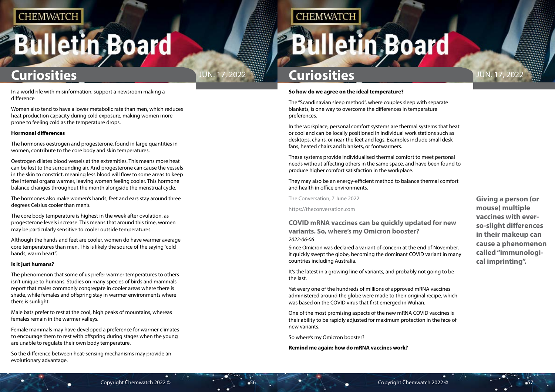# <span id="page-28-0"></span>**Bulletin Board**



**Giving a person (or mouse) multiple vaccines with everso-slight differences in their makeup can cause a phenomenon called "immunological imprinting".**

## **Curiosities Curiosities**

#### **So how do we agree on the ideal temperature?**

The "Scandinavian sleep method", where couples sleep with separate blankets, is one way to overcome the differences in temperature preferences.

In the workplace, personal comfort systems are thermal systems that heat or cool and can be locally positioned in individual work stations such as desktops, chairs, or near the feet and legs. Examples include small desk fans, heated chairs and blankets, or footwarmers.

These systems provide individualised thermal comfort to meet personal needs without affecting others in the same space, and have been found to produce higher comfort satisfaction in the workplace.

They may also be an energy-efficient method to balance thermal comfort and health in office environments.

The Conversation, 7 June 2022

https://theconversation.com

### **COVID mRNA vaccines can be quickly updated for new variants. So, where's my Omicron booster?** *2022-06-06*

Since Omicron was declared a variant of concern at the end of November, it quickly swept the globe, becoming the dominant COVID variant in many countries including Australia.

It's the latest in a growing line of variants, and probably not going to be the last.

Yet every one of the hundreds of millions of approved mRNA vaccines administered around the globe were made to their original recipe, which was based on the COVID virus that first emerged in Wuhan.

One of the most promising aspects of the new mRNA COVID vaccines is their ability to be rapidly adjusted for maximum protection in the face of new variants.

So where's my Omicron booster?

**Remind me again: how do mRNA vaccines work?**

In a world rife with misinformation, support a newsroom making a

difference

Women also tend to have a lower metabolic rate than men, which reduces heat production capacity during cold exposure, making women more prone to feeling cold as the temperature drops.

#### **Hormonal differences**

The hormones oestrogen and progesterone, found in large quantities in women, contribute to the core body and skin temperatures.

Oestrogen dilates blood vessels at the extremities. This means more heat can be lost to the surrounding air. And progesterone can cause the vessels in the skin to constrict, meaning less blood will flow to some areas to keep the internal organs warmer, leaving women feeling cooler. This hormone balance changes throughout the month alongside the menstrual cycle.

The hormones also make women's hands, feet and ears stay around three degrees Celsius cooler than men's.

The core body temperature is highest in the week after ovulation, as progesterone levels increase. This means that around this time, women may be particularly sensitive to cooler outside temperatures.

Although the hands and feet are cooler, women do have warmer average core temperatures than men. This is likely the source of the saying "cold hands, warm heart".

#### **Is it just humans?**

The phenomenon that some of us prefer warmer temperatures to others isn't unique to humans. Studies on many species of birds and mammals report that males commonly congregate in cooler areas where there is shade, while females and offspring stay in warmer environments where there is sunlight.

Male bats prefer to rest at the cool, high peaks of mountains, whereas females remain in the warmer valleys.

Female mammals may have developed a preference for warmer climates to encourage them to rest with offspring during stages when the young are unable to regulate their own body temperature.

So the difference between heat-sensing mechanisms may provide an evolutionary advantage.

**CHEMWATCH**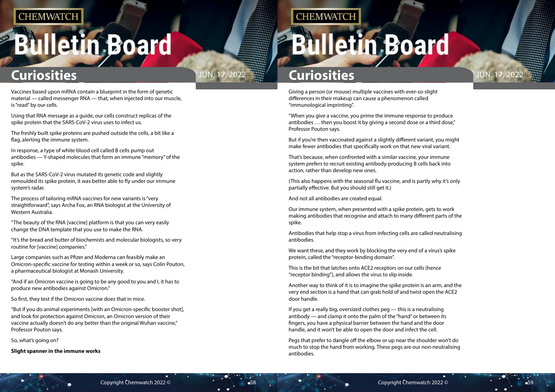# **Iletin Board**



Giving a person (or mouse) multiple vaccines with ever-so-slight differences in their makeup can cause a phenomenon called "immunological imprinting".

"When you give a vaccine, you prime the immune response to produce antibodies ... then you boost it by giving a second dose or a third dose," Professor Pouton says.

But if you're then vaccinated against a slightly different variant, you might make fewer antibodies that specifically work on that new viral variant.

That's because, when confronted with a similar vaccine, your immune system prefers to recruit existing antibody-producing B cells back into action, rather than develop new ones.

(This also happens with the seasonal flu vaccine, and is partly why it's only partially effective. But you should still get it.)

And not all antibodies are created equal.

Our immune system, when presented with a spike protein, gets to work making antibodies that recognise and attach to many different parts of the spike.

Antibodies that help stop a virus from infecting cells are called neutralising antibodies.

We want these, and they work by blocking the very end of a virus's spike protein, called the "receptor-binding domain".

This is the bit that latches onto ACE2 receptors on our cells (hence "receptor binding"), and allows the virus to slip inside.

Another way to think of it is to imagine the spike protein is an arm, and the very end section is a hand that can grab hold of and twist open the ACE2 door handle.

If you get a really big, oversized clothes peg — this is a neutralising antibody — and clamp it onto the palm of the "hand" or between its fingers, you have a physical barrier between the hand and the door handle, and it won't be able to open the door and infect the cell.

Pegs that prefer to dangle off the elbow or up near the shoulder won't do much to stop the hand from working. These pegs are our non-neutralising antibodies.

Vaccines based upon mRNA contain a blueprint in the form of genetic material — called messenger RNA — that, when injected into our muscle, is "read" by our cells.

Using that RNA message as a guide, our cells construct replicas of the spike protein that the SARS-CoV-2 virus uses to infect us.

The freshly built spike proteins are pushed outside the cells, a bit like a flag, alerting the immune system.

In response, a type of white blood cell called B cells pump out antibodies — Y-shaped molecules that form an immune "memory" of the spike.

But as the SARS-CoV-2 virus mutated its genetic code and slightly remoulded its spike protein, it was better able to fly under our immune system's radar.

The process of tailoring mRNA vaccines for new variants is "very straightforward", says Archa Fox, an RNA biologist at the University of Western Australia.

"The beauty of the RNA [vaccine] platform is that you can very easily change the DNA template that you use to make the RNA.

"It's the bread and butter of biochemists and molecular biologists, so very routine for [vaccine] companies."

Large companies such as Pfizer and Moderna can feasibly make an Omicron-specific vaccine for testing within a week or so, says Colin Pouton, a pharmaceutical biologist at Monash University.

"And if an Omicron vaccine is going to be any good to you and I, it has to produce new antibodies against Omicron."

So first, they test if the Omicron vaccine does that in mice.

"But if you do animal experiments [with an Omicron-specific booster shot], and look for protection against Omicron, an Omicron version of their vaccine actually doesn't do any better than the original Wuhan vaccine," Professor Pouton says.

So, what's going on?

**Slight spanner in the immune works**

## **CHEMWATCH**

# **Iletin Board**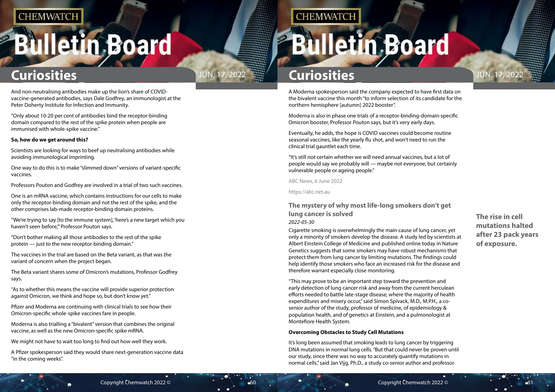# <span id="page-30-0"></span>**Bulletin Board**



**The rise in cell mutations halted after 23 pack years of exposure.**

## **Curiosities Curiosities**

A Moderna spokesperson said the company expected to have first data on the bivalent vaccine this month "to inform selection of its candidate for the northern hemisphere [autumn] 2022 booster".

Moderna is also in phase one trials of a receptor-binding-domain-specific Omicron booster, Professor Pouton says, but it's very early days.

Eventually, he adds, the hope is COVID vaccines could become routine seasonal vaccines, like the yearly flu shot, and won't need to run the clinical trial gauntlet each time.

"It's still not certain whether we will need annual vaccines, but a lot of people would say we probably will — maybe not everyone, but certainly vulnerable people or ageing people."

ABC News, 6 June 2022

https://abc.net.au

### **The mystery of why most life-long smokers don't get lung cancer is solved**

#### *2022-05-30*

Cigarette smoking is overwhelmingly the main cause of lung cancer, yet only a minority of smokers develop the disease. A study led by scientists at Albert Einstein College of Medicine and published online today in Nature Genetics suggests that some smokers may have robust mechanisms that protect them from lung cancer by limiting mutations. The findings could help identify those smokers who face an increased risk for the disease and therefore warrant especially close monitoring.

"This may prove to be an important step toward the prevention and early detection of lung cancer risk and away from the current herculean efforts needed to battle late-stage disease, where the majority of health expenditures and misery occur," said Simon Spivack, M.D., M.P.H., a cosenior author of the study, professor of medicine, of epidemiology & population health, and of genetics at Einstein, and a pulmonologist at Montefiore Health System.

#### **Overcoming Obstacles to Study Cell Mutations**

It's long been assumed that smoking leads to lung cancer by triggering DNA mutations in normal lung cells. "But that could never be proven until our study, since there was no way to accurately quantify mutations in normal cells," said Jan Vijg, Ph.D., a study co-senior author and professor

And non-neutralising antibodies make up the lion's share of COVIDvaccine-generated antibodies, says Dale Godfrey, an immunologist at the Peter Doherty Institute for Infection and Immunity.

"Only about 10-20 per cent of antibodies bind the receptor-binding domain compared to the rest of the spike protein when people are immunised with whole-spike vaccine."

#### **So, how do we get around this?**

Scientists are looking for ways to beef up neutralising antibodies while avoiding immunological imprinting.

One way to do this is to make "slimmed down" versions of variant-specific vaccines.

Professors Pouton and Godfrey are involved in a trial of two such vaccines.

One is an mRNA vaccine, which contains instructions for our cells to make only the receptor-binding domain and not the rest of the spike, and the other comprises lab-made receptor-binding domain proteins.

"We're trying to say [to the immune system], 'here's a new target which you haven't seen before,'" Professor Pouton says.

"Don't bother making all those antibodies to the rest of the spike protein — just to the new receptor-binding domain."

The vaccines in the trial are based on the Beta variant, as that was the variant of concern when the project began.

The Beta variant shares some of Omicron's mutations, Professor Godfrey says.

"As to whether this means the vaccine will provide superior protection against Omicron, we think and hope so, but don't know yet."

Pfizer and Moderna are continuing with clinical trials to see how their Omicron-specific whole-spike vaccines fare in people.

Moderna is also trialling a "bivalent" version that combines the original vaccine, as well as the new Omicron-specific spike mRNA.

We might not have to wait too long to find out how well they work.

A Pfizer spokesperson said they would share next-generation vaccine data "in the coming weeks".

## **CHEMWATCH**

# **Illetin Board**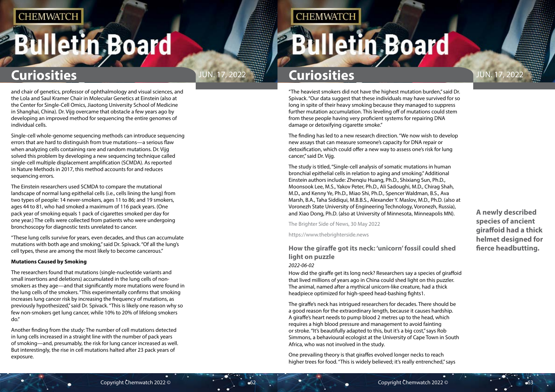# <span id="page-31-0"></span>**Bulletin Board**

**A newly described species of ancient giraffoid had a thick helmet designed for fierce headbutting.**

## **Curiosities Curiosities**

"The heaviest smokers did not have the highest mutation burden," said Dr. Spivack. "Our data suggest that these individuals may have survived for so long in spite of their heavy smoking because they managed to suppress further mutation accumulation. This leveling off of mutations could stem from these people having very proficient systems for repairing DNA damage or detoxifying cigarette smoke."

The finding has led to a new research direction. "We now wish to develop new assays that can measure someone's capacity for DNA repair or detoxification, which could offer a new way to assess one's risk for lung cancer," said Dr. Vijg.

The study is titled, "Single-cell analysis of somatic mutations in human bronchial epithelial cells in relation to aging and smoking." Additional Einstein authors include: Zhenqiu Huang, Ph.D., Shixiang Sun, Ph.D., Moonsook Lee, M.S., Yakov Peter, Ph.D., Ali Sadoughi, M.D., Chirag Shah, M.D., and Kenny Ye, Ph.D., Miao Shi, Ph.D., Spencer Waldman, B.S., Ava Marsh, B.A., Taha Siddiqui, M.B.B.S., Alexander Y. Maslov, M.D., Ph.D. (also at Voronezh State University of Engineering Technology, Voronezh, Russia), and Xiao Dong, Ph.D. (also at University of Minnesota, Minneapolis MN).

The Brighter Side of News, 30 May 2022

https://www.thebrighterside.news

### **How the giraffe got its neck: 'unicorn' fossil could shed light on puzzle**

#### *2022-06-02*

How did the giraffe get its long neck? Researchers say a species of giraffoid that lived millions of years ago in China could shed light on this puzzler. The animal, named after a mythical unicorn-like creature, had a thick headpiece optimized for high-speed head-bashing fights1.

The giraffe's neck has intrigued researchers for decades. There should be a good reason for the extraordinary length, because it causes hardship. A giraffe's heart needs to pump blood 2 metres up to the head, which requires a high blood pressure and management to avoid fainting or stroke. "It's beautifully adapted to this, but it's a big cost," says Rob Simmons, a behavioural ecologist at the University of Cape Town in South Africa, who was not involved in the study.

One prevailing theory is that giraffes evolved longer necks to reach higher trees for food. "This is widely believed; it's really entrenched," says



and chair of genetics, professor of ophthalmology and visual sciences, and the Lola and Saul Kramer Chair in Molecular Genetics at Einstein (also at the Center for Single-Cell Omics, Jiaotong University School of Medicine in Shanghai, China). Dr. Vijg overcame that obstacle a few years ago by developing an improved method for sequencing the entire genomes of individual cells.

Single-cell whole-genome sequencing methods can introduce sequencing errors that are hard to distinguish from true mutations—a serious flaw when analyzing cells containing rare and random mutations. Dr. Vijg solved this problem by developing a new sequencing technique called single-cell multiple displacement amplification (SCMDA). As reported in Nature Methods in 2017, this method accounts for and reduces sequencing errors.

The Einstein researchers used SCMDA to compare the mutational landscape of normal lung epithelial cells (i.e., cells lining the lung) from two types of people: 14 never-smokers, ages 11 to 86; and 19 smokers, ages 44 to 81, who had smoked a maximum of 116 pack years. (One pack year of smoking equals 1 pack of cigarettes smoked per day for one year.) The cells were collected from patients who were undergoing bronchoscopy for diagnostic tests unrelated to cancer.

"These lung cells survive for years, even decades, and thus can accumulate mutations with both age and smoking," said Dr. Spivack. "Of all the lung's cell types, these are among the most likely to become cancerous."

#### **Mutations Caused by Smoking**

The researchers found that mutations (single-nucleotide variants and small insertions and deletions) accumulated in the lung cells of nonsmokers as they age—and that significantly more mutations were found in the lung cells of the smokers. "This experimentally confirms that smoking increases lung cancer risk by increasing the frequency of mutations, as previously hypothesized," said Dr. Spivack. "This is likely one reason why so few non-smokers get lung cancer, while 10% to 20% of lifelong smokers do."

Another finding from the study: The number of cell mutations detected in lung cells increased in a straight line with the number of pack years of smoking—and, presumably, the risk for lung cancer increased as well. But interestingly, the rise in cell mutations halted after 23 pack years of exposure.

## **CHEMWATCH**

# **Bulletin Board**

## JUN. 17, 2022  $\frac{1}{2}$  Curiosities **Curiosities**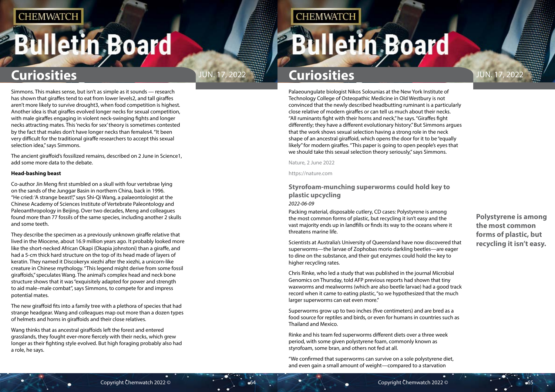# <span id="page-32-0"></span>**Bulletin Board**

**Polystyrene is among the most common forms of plastic, but recycling it isn't easy.**

## **Curiosities Curiosities**

Palaeoungulate biologist Nikos Solounias at the New York Institute of Technology College of Osteopathic Medicine in Old Westbury is not convinced that the newly described headbutting ruminant is a particularly close relative of modern giraffes or can tell us much about their necks. "All ruminants fight with their horns and neck," he says. "Giraffes fight differently; they have a different evolutionary history." But Simmons argues that the work shows sexual selection having a strong role in the neck shape of an ancestral giraffoid, which opens the door for it to be "equally likely" for modern giraffes. "This paper is going to open people's eyes that we should take this sexual selection theory seriously," says Simmons.

Nature, 2 June 2022

https://nature.com

### **Styrofoam-munching superworms could hold key to plastic upcycling** *2022-06-09*

Packing material, disposable cutlery, CD cases: Polystyrene is among the most common forms of plastic, but recycling it isn't easy and the vast majority ends up in landfills or finds its way to the oceans where it threatens marine life.

Scientists at Australia's University of Queensland have now discovered that superworms—the larvae of Zophobas morio darkling beetles—are eager to dine on the substance, and their gut enzymes could hold the key to higher recycling rates.

Chris Rinke, who led a study that was published in the journal Microbial Genomics on Thursday, told AFP previous reports had shown that tiny waxworms and mealworms (which are also beetle larvae) had a good track record when it came to eating plastic, "so we hypothesized that the much larger superworms can eat even more."

Superworms grow up to two inches (five centimeters) and are bred as a food source for reptiles and birds, or even for humans in countries such as Thailand and Mexico.

Rinke and his team fed superworms different diets over a three week period, with some given polystyrene foam, commonly known as styrofoam, some bran, and others not fed at all.

"We confirmed that superworms can survive on a sole polystyrene diet, and even gain a small amount of weight—compared to a starvation



Simmons. This makes sense, but isn't as simple as it sounds — research has shown that giraffes tend to eat from lower levels2, and tall giraffes aren't more likely to survive drought3, when food competition is highest. Another idea is that giraffes evolved longer necks for sexual competition, with male giraffes engaging in violent neck-swinging fights and longer necks attracting mates. This 'necks for sex' theory is sometimes contested by the fact that males don't have longer necks than females4. "It been very difficult for the traditional giraffe researchers to accept this sexual selection idea," says Simmons.

The ancient giraffoid's fossilized remains, described on 2 June in Science1, add some more data to the debate.

#### **Head-bashing beast**

Co-author Jin Meng first stumbled on a skull with four vertebrae lying on the sands of the Junggar Basin in northern China, back in 1996. "He cried: 'A strange beast!'," says Shi-Qi Wang, a palaeontologist at the Chinese Academy of Sciences Institute of Vertebrate Paleontology and Paleoanthropology in Beijing. Over two decades, Meng and colleagues found more than 77 fossils of the same species, including another 2 skulls and some teeth.

They describe the specimen as a previously unknown giraffe relative that lived in the Miocene, about 16.9 million years ago. It probably looked more like the short-necked African Okapi (Okapia johnstoni) than a giraffe, and had a 5-cm thick hard structure on the top of its head made of layers of keratin. They named it Discokeryx xiezhi after the xiezhi, a unicorn-like creature in Chinese mythology. "This legend might derive from some fossil giraffoids," speculates Wang. The animal's complex head and neck bone structure shows that it was "exquisitely adapted for power and strength to aid male–male combat", says Simmons, to compete for and impress potential mates.

The new giraffoid fits into a family tree with a plethora of species that had strange headgear. Wang and colleagues map out more than a dozen types of helmets and horns in giraffoids and their close relatives.

Wang thinks that as ancestral giraffoids left the forest and entered grasslands, they fought ever-more fiercely with their necks, which grew longer as their fighting style evolved. But high foraging probably also had a role, he says.

## **CHEMWATCH**

# **Bulletin Board**

## JUN. 17, 2022  $\frac{1}{2}$  Curiosities **Curiosities**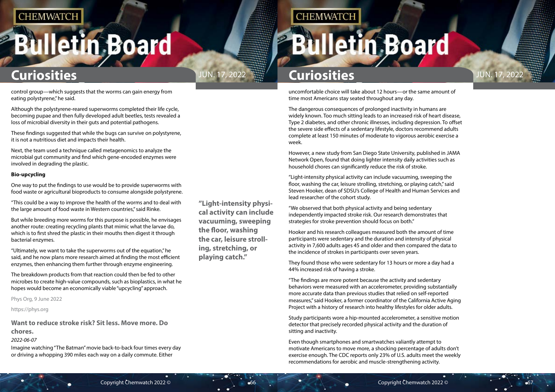# <span id="page-33-0"></span>**Bulletin Board**



**"Light-intensity physical activity can include vacuuming, sweeping the floor, washing the car, leisure strolling, stretching, or playing catch."**

**CHEMWATCH** 

## **Curiosities Curiosities**

uncomfortable choice will take about 12 hours—or the same amount of time most Americans stay seated throughout any day.

The dangerous consequences of prolonged inactivity in humans are widely known. Too much sitting leads to an increased risk of heart disease, Type 2 diabetes, and other chronic illnesses, including depression. To offset the severe side effects of a sedentary lifestyle, doctors recommend adults complete at least 150 minutes of moderate to vigorous aerobic exercise a week.

However, a new study from San Diego State University, published in JAMA Network Open, found that doing lighter intensity daily activities such as household chores can significantly reduce the risk of stroke.

"Light-intensity physical activity can include vacuuming, sweeping the floor, washing the car, leisure strolling, stretching, or playing catch," said Steven Hooker, dean of SDSU's College of Health and Human Services and lead researcher of the cohort study.

"We observed that both physical activity and being sedentary independently impacted stroke risk. Our research demonstrates that strategies for stroke prevention should focus on both."

Hooker and his research colleagues measured both the amount of time participants were sedentary and the duration and intensity of physical activity in 7,600 adults ages 45 and older and then compared the data to the incidence of strokes in participants over seven years.

They found those who were sedentary for 13 hours or more a day had a 44% increased risk of having a stroke.

"The findings are more potent because the activity and sedentary behaviors were measured with an accelerometer, providing substantially more accurate data than previous studies that relied on self-reported measures," said Hooker, a former coordinator of the California Active Aging Project with a history of research into healthy lifestyles for older adults.

Study participants wore a hip-mounted accelerometer, a sensitive motion detector that precisely recorded physical activity and the duration of sitting and inactivity.

Even though smartphones and smartwatches valiantly attempt to motivate Americans to move more, a shocking percentage of adults don't exercise enough. The CDC reports only 23% of U.S. adults meet the weekly recommendations for aerobic and muscle-strengthening activity.

control group—which suggests that the worms can gain energy from eating polystyrene," he said.

Although the polystyrene-reared superworms completed their life cycle, becoming pupae and then fully developed adult beetles, tests revealed a loss of microbial diversity in their guts and potential pathogens.

These findings suggested that while the bugs can survive on polystyrene, it is not a nutritious diet and impacts their health.

Next, the team used a technique called metagenomics to analyze the microbial gut community and find which gene-encoded enzymes were involved in degrading the plastic.

#### **Bio-upcycling**

One way to put the findings to use would be to provide superworms with food waste or agricultural bioproducts to consume alongside polystyrene.

"This could be a way to improve the health of the worms and to deal with the large amount of food waste in Western countries," said Rinke.

But while breeding more worms for this purpose is possible, he envisages another route: creating recycling plants that mimic what the larvae do, which is to first shred the plastic in their mouths then digest it through bacterial enzymes.

"Ultimately, we want to take the superworms out of the equation," he said, and he now plans more research aimed at finding the most efficient enzymes, then enhancing them further through enzyme engineering.

The breakdown products from that reaction could then be fed to other microbes to create high-value compounds, such as bioplastics, in what he hopes would become an economically viable "upcycling" approach.

Phys Org, 9 June 2022

https://phys.org

**Want to reduce stroke risk? Sit less. Move more. Do chores.**

#### *2022-06-07*

Imagine watching "The Batman" movie back-to-back four times every day or driving a whopping 390 miles each way on a daily commute. Either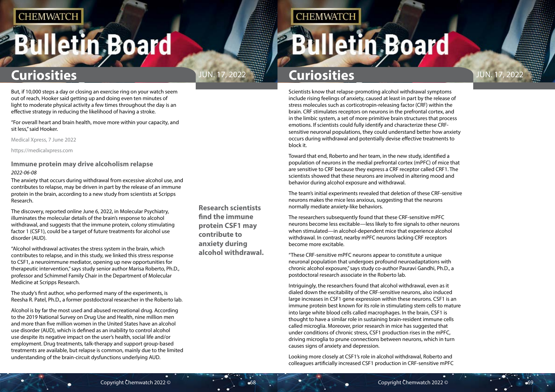# <span id="page-34-0"></span>**Bulletin Board**

### **Research scientists find the immune protein CSF1 may contribute to anxiety during alcohol withdrawal.**

## JUN. 17, 2022  $\frac{1}{2}$  Curiosities **Curiosities**

**CHEMWATCH** 

## **Curiosities Curiosities**

Scientists know that relapse-promoting alcohol withdrawal symptoms include rising feelings of anxiety, caused at least in part by the release of stress molecules such as corticotropin-releasing factor (CRF) within the brain. CRF stimulates receptors on neurons in the prefrontal cortex, and in the limbic system, a set of more primitive brain structures that process emotions. If scientists could fully identify and characterize these CRFsensitive neuronal populations, they could understand better how anxiety occurs during withdrawal and potentially devise effective treatments to block it.

Toward that end, Roberto and her team, in the new study, identified a population of neurons in the medial prefrontal cortex (mPFC) of mice that are sensitive to CRF because they express a CRF receptor called CRF1. The scientists showed that these neurons are involved in altering mood and behavior during alcohol exposure and withdrawal.

The team's initial experiments revealed that deletion of these CRF-sensitive neurons makes the mice less anxious, suggesting that the neurons normally mediate anxiety-like behaviors.

The researchers subsequently found that these CRF-sensitive mPFC neurons become less excitable—less likely to fire signals to other neurons when stimulated—in alcohol-dependent mice that experience alcohol withdrawal. In contrast, nearby mPFC neurons lacking CRF receptors become more excitable.

"These CRF-sensitive mPFC neurons appear to constitute a unique neuronal population that undergoes profound neuroadaptations with chronic alcohol exposure," says study co-author Pauravi Gandhi, Ph.D., a postdoctoral research associate in the Roberto lab.

Intriguingly, the researchers found that alcohol withdrawal, even as it dialed down the excitability of the CRF-sensitive neurons, also induced large increases in CSF1 gene expression within these neurons. CSF1 is an immune protein best known for its role in stimulating stem cells to mature into large white blood cells called macrophages. In the brain, CSF1 is thought to have a similar role in sustaining brain-resident immune cells called microglia. Moreover, prior research in mice has suggested that under conditions of chronic stress, CSF1 production rises in the mPFC, driving microglia to prune connections between neurons, which in turn causes signs of anxiety and depression.

Looking more closely at CSF1's role in alcohol withdrawal, Roberto and colleagues artificially increased CSF1 production in CRF-sensitive mPFC

# **Bulletin Board**

But, if 10,000 steps a day or closing an exercise ring on your watch seem out of reach, Hooker said getting up and doing even ten minutes of light to moderate physical activity a few times throughout the day is an effective strategy in reducing the likelihood of having a stroke.

"For overall heart and brain health, move more within your capacity, and sit less," said Hooker.

Medical Xpress, 7 June 2022

https://medicalxpress.com

### **Immune protein may drive alcoholism relapse** *2022-06-08*

The anxiety that occurs during withdrawal from excessive alcohol use, and contributes to relapse, may be driven in part by the release of an immune protein in the brain, according to a new study from scientists at Scripps Research.

The discovery, reported online June 6, 2022, in Molecular Psychiatry, illuminates the molecular details of the brain's response to alcohol withdrawal, and suggests that the immune protein, colony stimulating factor 1 (CSF1), could be a target of future treatments for alcohol use disorder (AUD).

"Alcohol withdrawal activates the stress system in the brain, which contributes to relapse, and in this study, we linked this stress response to CSF1, a neuroimmune mediator, opening up new opportunities for therapeutic intervention," says study senior author Marisa Roberto, Ph.D., professor and Schimmel Family Chair in the Department of Molecular Medicine at Scripps Research.

The study's first author, who performed many of the experiments, is Reesha R. Patel, Ph.D., a former postdoctoral researcher in the Roberto lab.

Alcohol is by far the most used and abused recreational drug. According to the 2019 National Survey on Drug Use and Health, nine million men and more than five million women in the United States have an alcohol use disorder (AUD), which is defined as an inability to control alcohol use despite its negative impact on the user's health, social life and/or employment. Drug treatments, talk-therapy and support group-based treatments are available, but relapse is common, mainly due to the limited understanding of the brain-circuit dysfunctions underlying AUD.